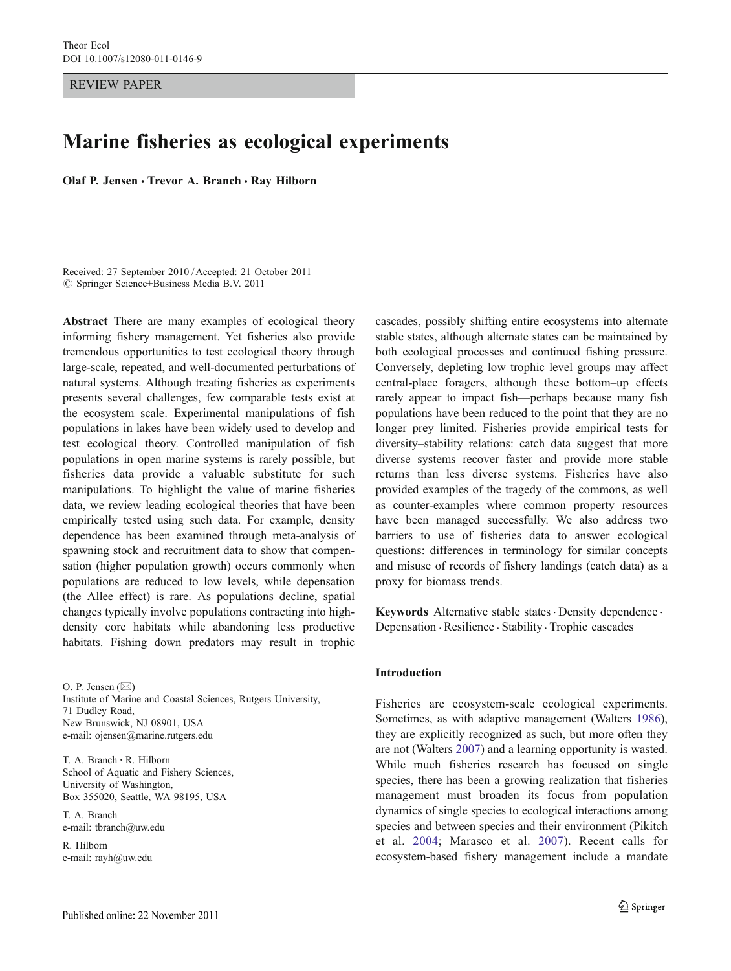REVIEW PAPER

# Marine fisheries as ecological experiments

Olaf P. Jensen · Trevor A. Branch · Ray Hilborn

Received: 27 September 2010 /Accepted: 21 October 2011  $\odot$  Springer Science+Business Media B.V. 2011

Abstract There are many examples of ecological theory informing fishery management. Yet fisheries also provide tremendous opportunities to test ecological theory through large-scale, repeated, and well-documented perturbations of natural systems. Although treating fisheries as experiments presents several challenges, few comparable tests exist at the ecosystem scale. Experimental manipulations of fish populations in lakes have been widely used to develop and test ecological theory. Controlled manipulation of fish populations in open marine systems is rarely possible, but fisheries data provide a valuable substitute for such manipulations. To highlight the value of marine fisheries data, we review leading ecological theories that have been empirically tested using such data. For example, density dependence has been examined through meta-analysis of spawning stock and recruitment data to show that compensation (higher population growth) occurs commonly when populations are reduced to low levels, while depensation (the Allee effect) is rare. As populations decline, spatial changes typically involve populations contracting into highdensity core habitats while abandoning less productive habitats. Fishing down predators may result in trophic

O. P. Jensen  $(\boxtimes)$ Institute of Marine and Coastal Sciences, Rutgers University, 71 Dudley Road, New Brunswick, NJ 08901, USA e-mail: ojensen@marine.rutgers.edu

T. A. Branch : R. Hilborn School of Aquatic and Fishery Sciences, University of Washington, Box 355020, Seattle, WA 98195, USA

T. A. Branch e-mail: tbranch@uw.edu

R. Hilborn e-mail: rayh@uw.edu stable states, although alternate states can be maintained by both ecological processes and continued fishing pressure. Conversely, depleting low trophic level groups may affect central-place foragers, although these bottom–up effects rarely appear to impact fish—perhaps because many fish populations have been reduced to the point that they are no longer prey limited. Fisheries provide empirical tests for diversity–stability relations: catch data suggest that more diverse systems recover faster and provide more stable returns than less diverse systems. Fisheries have also provided examples of the tragedy of the commons, as well as counter-examples where common property resources have been managed successfully. We also address two barriers to use of fisheries data to answer ecological questions: differences in terminology for similar concepts and misuse of records of fishery landings (catch data) as a proxy for biomass trends.

cascades, possibly shifting entire ecosystems into alternate

Keywords Alternative stable states · Density dependence · Depensation . Resilience . Stability . Trophic cascades

## Introduction

Fisheries are ecosystem-scale ecological experiments. Sometimes, as with adaptive management (Walters [1986\)](#page-19-0), they are explicitly recognized as such, but more often they are not (Walters [2007\)](#page-19-0) and a learning opportunity is wasted. While much fisheries research has focused on single species, there has been a growing realization that fisheries management must broaden its focus from population dynamics of single species to ecological interactions among species and between species and their environment (Pikitch et al. [2004](#page-18-0); Marasco et al. [2007\)](#page-17-0). Recent calls for ecosystem-based fishery management include a mandate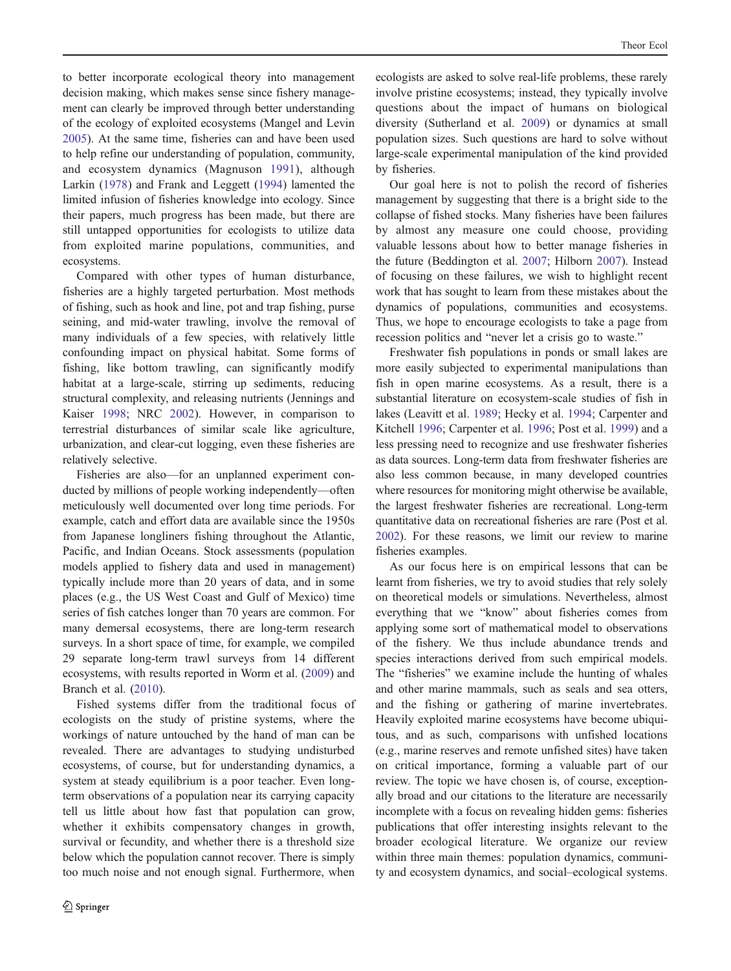to better incorporate ecological theory into management decision making, which makes sense since fishery management can clearly be improved through better understanding of the ecology of exploited ecosystems (Mangel and Levin [2005\)](#page-17-0). At the same time, fisheries can and have been used to help refine our understanding of population, community, and ecosystem dynamics (Magnuson [1991\)](#page-17-0), although Larkin [\(1978](#page-16-0)) and Frank and Leggett ([1994](#page-15-0)) lamented the limited infusion of fisheries knowledge into ecology. Since their papers, much progress has been made, but there are still untapped opportunities for ecologists to utilize data from exploited marine populations, communities, and ecosystems.

Compared with other types of human disturbance, fisheries are a highly targeted perturbation. Most methods of fishing, such as hook and line, pot and trap fishing, purse seining, and mid-water trawling, involve the removal of many individuals of a few species, with relatively little confounding impact on physical habitat. Some forms of fishing, like bottom trawling, can significantly modify habitat at a large-scale, stirring up sediments, reducing structural complexity, and releasing nutrients (Jennings and Kaiser [1998;](#page-16-0) NRC [2002\)](#page-17-0). However, in comparison to terrestrial disturbances of similar scale like agriculture, urbanization, and clear-cut logging, even these fisheries are relatively selective.

Fisheries are also—for an unplanned experiment conducted by millions of people working independently—often meticulously well documented over long time periods. For example, catch and effort data are available since the 1950s from Japanese longliners fishing throughout the Atlantic, Pacific, and Indian Oceans. Stock assessments (population models applied to fishery data and used in management) typically include more than 20 years of data, and in some places (e.g., the US West Coast and Gulf of Mexico) time series of fish catches longer than 70 years are common. For many demersal ecosystems, there are long-term research surveys. In a short space of time, for example, we compiled 29 separate long-term trawl surveys from 14 different ecosystems, with results reported in Worm et al. ([2009\)](#page-19-0) and Branch et al. [\(2010](#page-14-0)).

Fished systems differ from the traditional focus of ecologists on the study of pristine systems, where the workings of nature untouched by the hand of man can be revealed. There are advantages to studying undisturbed ecosystems, of course, but for understanding dynamics, a system at steady equilibrium is a poor teacher. Even longterm observations of a population near its carrying capacity tell us little about how fast that population can grow, whether it exhibits compensatory changes in growth, survival or fecundity, and whether there is a threshold size below which the population cannot recover. There is simply too much noise and not enough signal. Furthermore, when

ecologists are asked to solve real-life problems, these rarely involve pristine ecosystems; instead, they typically involve questions about the impact of humans on biological diversity (Sutherland et al. [2009\)](#page-18-0) or dynamics at small population sizes. Such questions are hard to solve without large-scale experimental manipulation of the kind provided by fisheries.

Our goal here is not to polish the record of fisheries management by suggesting that there is a bright side to the collapse of fished stocks. Many fisheries have been failures by almost any measure one could choose, providing valuable lessons about how to better manage fisheries in the future (Beddington et al. [2007;](#page-14-0) Hilborn [2007](#page-15-0)). Instead of focusing on these failures, we wish to highlight recent work that has sought to learn from these mistakes about the dynamics of populations, communities and ecosystems. Thus, we hope to encourage ecologists to take a page from recession politics and "never let a crisis go to waste."

Freshwater fish populations in ponds or small lakes are more easily subjected to experimental manipulations than fish in open marine ecosystems. As a result, there is a substantial literature on ecosystem-scale studies of fish in lakes (Leavitt et al. [1989;](#page-16-0) Hecky et al. [1994;](#page-15-0) Carpenter and Kitchell [1996;](#page-14-0) Carpenter et al. [1996;](#page-14-0) Post et al. [1999\)](#page-18-0) and a less pressing need to recognize and use freshwater fisheries as data sources. Long-term data from freshwater fisheries are also less common because, in many developed countries where resources for monitoring might otherwise be available, the largest freshwater fisheries are recreational. Long-term quantitative data on recreational fisheries are rare (Post et al. [2002\)](#page-18-0). For these reasons, we limit our review to marine fisheries examples.

As our focus here is on empirical lessons that can be learnt from fisheries, we try to avoid studies that rely solely on theoretical models or simulations. Nevertheless, almost everything that we "know" about fisheries comes from applying some sort of mathematical model to observations of the fishery. We thus include abundance trends and species interactions derived from such empirical models. The "fisheries" we examine include the hunting of whales and other marine mammals, such as seals and sea otters, and the fishing or gathering of marine invertebrates. Heavily exploited marine ecosystems have become ubiquitous, and as such, comparisons with unfished locations (e.g., marine reserves and remote unfished sites) have taken on critical importance, forming a valuable part of our review. The topic we have chosen is, of course, exceptionally broad and our citations to the literature are necessarily incomplete with a focus on revealing hidden gems: fisheries publications that offer interesting insights relevant to the broader ecological literature. We organize our review within three main themes: population dynamics, community and ecosystem dynamics, and social–ecological systems.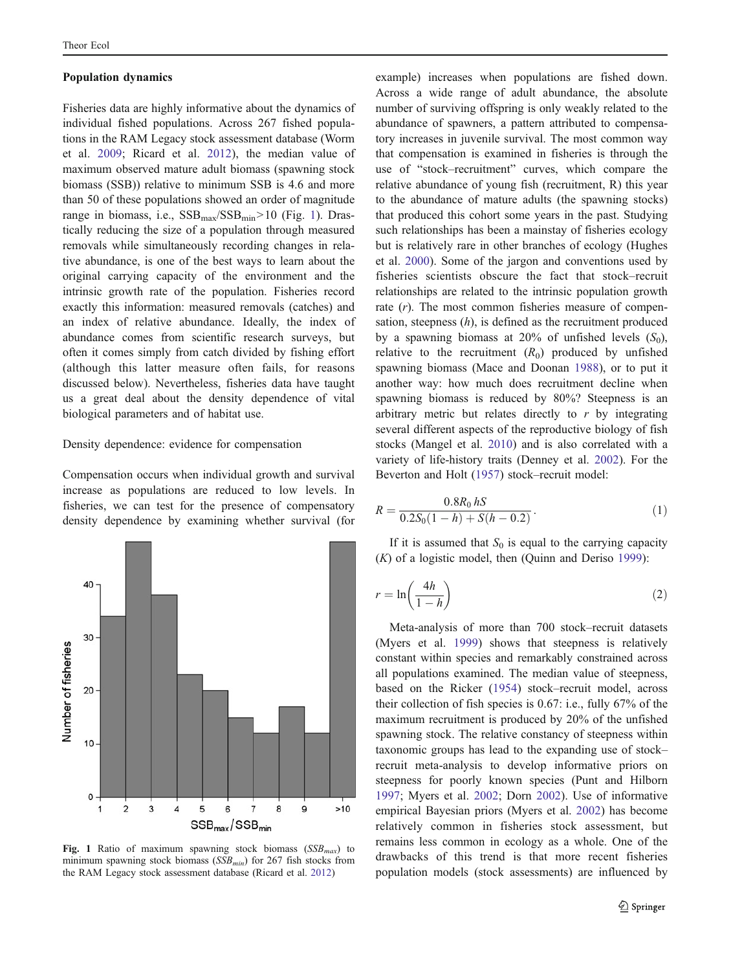#### Population dynamics

Fisheries data are highly informative about the dynamics of individual fished populations. Across 267 fished populations in the RAM Legacy stock assessment database (Worm et al. [2009](#page-19-0); Ricard et al. [2012\)](#page-18-0), the median value of maximum observed mature adult biomass (spawning stock biomass (SSB)) relative to minimum SSB is 4.6 and more than 50 of these populations showed an order of magnitude range in biomass, i.e.,  $SSB_{\text{max}}/SSB_{\text{min}} > 10$  (Fig. 1). Drastically reducing the size of a population through measured removals while simultaneously recording changes in relative abundance, is one of the best ways to learn about the original carrying capacity of the environment and the intrinsic growth rate of the population. Fisheries record exactly this information: measured removals (catches) and an index of relative abundance. Ideally, the index of abundance comes from scientific research surveys, but often it comes simply from catch divided by fishing effort (although this latter measure often fails, for reasons discussed below). Nevertheless, fisheries data have taught us a great deal about the density dependence of vital biological parameters and of habitat use.

## Density dependence: evidence for compensation

Compensation occurs when individual growth and survival increase as populations are reduced to low levels. In fisheries, we can test for the presence of compensatory density dependence by examining whether survival (for



Fig. 1 Ratio of maximum spawning stock biomass  $(SSB_{max})$  to minimum spawning stock biomass ( $SSB<sub>min</sub>$ ) for 267 fish stocks from the RAM Legacy stock assessment database (Ricard et al. [2012](#page-18-0))

example) increases when populations are fished down. Across a wide range of adult abundance, the absolute number of surviving offspring is only weakly related to the abundance of spawners, a pattern attributed to compensatory increases in juvenile survival. The most common way that compensation is examined in fisheries is through the use of "stock–recruitment" curves, which compare the relative abundance of young fish (recruitment, R) this year to the abundance of mature adults (the spawning stocks) that produced this cohort some years in the past. Studying such relationships has been a mainstay of fisheries ecology but is relatively rare in other branches of ecology (Hughes et al. [2000](#page-16-0)). Some of the jargon and conventions used by fisheries scientists obscure the fact that stock–recruit relationships are related to the intrinsic population growth rate  $(r)$ . The most common fisheries measure of compensation, steepness  $(h)$ , is defined as the recruitment produced by a spawning biomass at 20% of unfished levels  $(S_0)$ , relative to the recruitment  $(R_0)$  produced by unfished spawning biomass (Mace and Doonan [1988](#page-17-0)), or to put it another way: how much does recruitment decline when spawning biomass is reduced by 80%? Steepness is an arbitrary metric but relates directly to  $r$  by integrating several different aspects of the reproductive biology of fish stocks (Mangel et al. [2010\)](#page-17-0) and is also correlated with a variety of life-history traits (Denney et al. [2002\)](#page-15-0). For the Beverton and Holt [\(1957](#page-14-0)) stock–recruit model:

$$
R = \frac{0.8R_0 hS}{0.2S_0(1-h) + S(h-0.2)}.
$$
\n(1)

If it is assumed that  $S_0$  is equal to the carrying capacity  $(K)$  of a logistic model, then (Quinn and Deriso [1999](#page-18-0)):

$$
r = \ln\left(\frac{4h}{1-h}\right) \tag{2}
$$

Meta-analysis of more than 700 stock–recruit datasets (Myers et al. [1999\)](#page-17-0) shows that steepness is relatively constant within species and remarkably constrained across all populations examined. The median value of steepness, based on the Ricker ([1954\)](#page-18-0) stock–recruit model, across their collection of fish species is 0.67: i.e., fully 67% of the maximum recruitment is produced by 20% of the unfished spawning stock. The relative constancy of steepness within taxonomic groups has lead to the expanding use of stock– recruit meta-analysis to develop informative priors on steepness for poorly known species (Punt and Hilborn [1997](#page-18-0); Myers et al. [2002](#page-17-0); Dorn [2002](#page-15-0)). Use of informative empirical Bayesian priors (Myers et al. [2002\)](#page-17-0) has become relatively common in fisheries stock assessment, but remains less common in ecology as a whole. One of the drawbacks of this trend is that more recent fisheries population models (stock assessments) are influenced by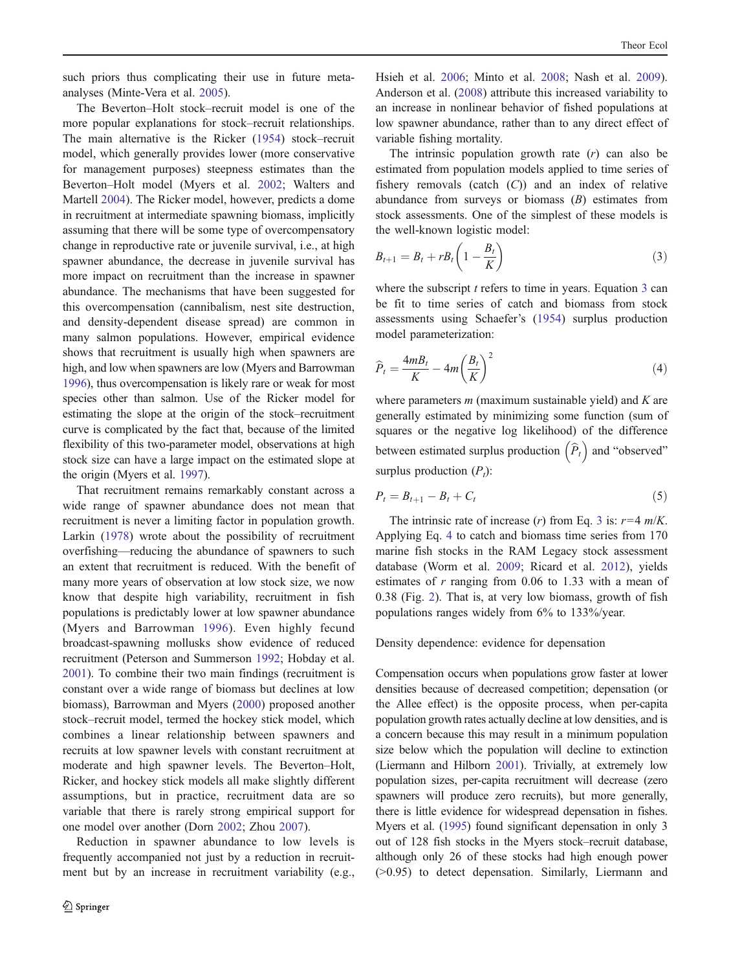such priors thus complicating their use in future metaanalyses (Minte-Vera et al. [2005](#page-17-0)).

The Beverton–Holt stock–recruit model is one of the more popular explanations for stock–recruit relationships. The main alternative is the Ricker ([1954\)](#page-18-0) stock–recruit model, which generally provides lower (more conservative for management purposes) steepness estimates than the Beverton–Holt model (Myers et al. [2002](#page-17-0); Walters and Martell [2004\)](#page-19-0). The Ricker model, however, predicts a dome in recruitment at intermediate spawning biomass, implicitly assuming that there will be some type of overcompensatory change in reproductive rate or juvenile survival, i.e., at high spawner abundance, the decrease in juvenile survival has more impact on recruitment than the increase in spawner abundance. The mechanisms that have been suggested for this overcompensation (cannibalism, nest site destruction, and density-dependent disease spread) are common in many salmon populations. However, empirical evidence shows that recruitment is usually high when spawners are high, and low when spawners are low (Myers and Barrowman [1996\)](#page-17-0), thus overcompensation is likely rare or weak for most species other than salmon. Use of the Ricker model for estimating the slope at the origin of the stock–recruitment curve is complicated by the fact that, because of the limited flexibility of this two-parameter model, observations at high stock size can have a large impact on the estimated slope at the origin (Myers et al. [1997\)](#page-17-0).

That recruitment remains remarkably constant across a wide range of spawner abundance does not mean that recruitment is never a limiting factor in population growth. Larkin [\(1978](#page-16-0)) wrote about the possibility of recruitment overfishing—reducing the abundance of spawners to such an extent that recruitment is reduced. With the benefit of many more years of observation at low stock size, we now know that despite high variability, recruitment in fish populations is predictably lower at low spawner abundance (Myers and Barrowman [1996](#page-17-0)). Even highly fecund broadcast-spawning mollusks show evidence of reduced recruitment (Peterson and Summerson [1992](#page-17-0); Hobday et al. [2001\)](#page-16-0). To combine their two main findings (recruitment is constant over a wide range of biomass but declines at low biomass), Barrowman and Myers ([2000\)](#page-14-0) proposed another stock–recruit model, termed the hockey stick model, which combines a linear relationship between spawners and recruits at low spawner levels with constant recruitment at moderate and high spawner levels. The Beverton–Holt, Ricker, and hockey stick models all make slightly different assumptions, but in practice, recruitment data are so variable that there is rarely strong empirical support for one model over another (Dorn [2002](#page-15-0); Zhou [2007\)](#page-19-0).

Reduction in spawner abundance to low levels is frequently accompanied not just by a reduction in recruitment but by an increase in recruitment variability (e.g.,

Hsieh et al. [2006](#page-16-0); Minto et al. [2008;](#page-17-0) Nash et al. [2009\)](#page-17-0). Anderson et al. ([2008\)](#page-13-0) attribute this increased variability to an increase in nonlinear behavior of fished populations at low spawner abundance, rather than to any direct effect of variable fishing mortality.

The intrinsic population growth rate  $(r)$  can also be estimated from population models applied to time series of fishery removals (catch  $(C)$ ) and an index of relative abundance from surveys or biomass  $(B)$  estimates from stock assessments. One of the simplest of these models is the well-known logistic model:

$$
B_{t+1} = B_t + rB_t \left(1 - \frac{B_t}{K}\right) \tag{3}
$$

where the subscript  $t$  refers to time in years. Equation 3 can be fit to time series of catch and biomass from stock assessments using Schaefer's ([1954\)](#page-18-0) surplus production model parameterization:

$$
\widehat{P}_t = \frac{4mB_t}{K} - 4m\left(\frac{B_t}{K}\right)^2\tag{4}
$$

where parameters  $m$  (maximum sustainable yield) and  $K$  are generally estimated by minimizing some function (sum of squares or the negative log likelihood) of the difference between estimated surplus production  $\left(\widehat{P}_t\right)$  and "observed" surplus production  $(P_t)$ :

$$
P_t = B_{t+1} - B_t + C_t \tag{5}
$$

The intrinsic rate of increase (*r*) from Eq. 3 is:  $r=4$  m/K. Applying Eq. 4 to catch and biomass time series from 170 marine fish stocks in the RAM Legacy stock assessment database (Worm et al. [2009](#page-19-0); Ricard et al. [2012\)](#page-18-0), yields estimates of  $r$  ranging from 0.06 to 1.33 with a mean of 0.38 (Fig. [2\)](#page-4-0). That is, at very low biomass, growth of fish populations ranges widely from 6% to 133%/year.

Density dependence: evidence for depensation

Compensation occurs when populations grow faster at lower densities because of decreased competition; depensation (or the Allee effect) is the opposite process, when per-capita population growth rates actually decline at low densities, and is a concern because this may result in a minimum population size below which the population will decline to extinction (Liermann and Hilborn [2001\)](#page-16-0). Trivially, at extremely low population sizes, per-capita recruitment will decrease (zero spawners will produce zero recruits), but more generally, there is little evidence for widespread depensation in fishes. Myers et al. [\(1995\)](#page-17-0) found significant depensation in only 3 out of 128 fish stocks in the Myers stock–recruit database, although only 26 of these stocks had high enough power (>0.95) to detect depensation. Similarly, Liermann and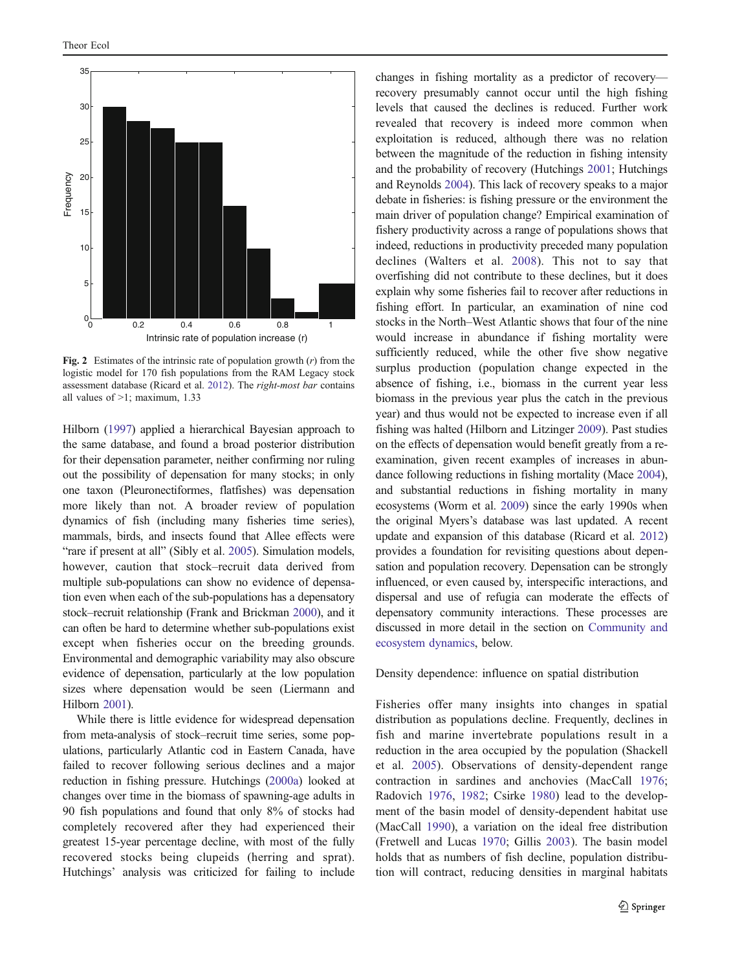<span id="page-4-0"></span>

Fig. 2 Estimates of the intrinsic rate of population growth  $(r)$  from the logistic model for 170 fish populations from the RAM Legacy stock assessment database (Ricard et al. [2012](#page-18-0)). The right-most bar contains all values of >1; maximum, 1.33

Hilborn [\(1997](#page-16-0)) applied a hierarchical Bayesian approach to the same database, and found a broad posterior distribution for their depensation parameter, neither confirming nor ruling out the possibility of depensation for many stocks; in only one taxon (Pleuronectiformes, flatfishes) was depensation more likely than not. A broader review of population dynamics of fish (including many fisheries time series), mammals, birds, and insects found that Allee effects were "rare if present at all" (Sibly et al. [2005\)](#page-18-0). Simulation models, however, caution that stock–recruit data derived from multiple sub-populations can show no evidence of depensation even when each of the sub-populations has a depensatory stock–recruit relationship (Frank and Brickman [2000](#page-15-0)), and it can often be hard to determine whether sub-populations exist except when fisheries occur on the breeding grounds. Environmental and demographic variability may also obscure evidence of depensation, particularly at the low population sizes where depensation would be seen (Liermann and Hilborn [2001\)](#page-16-0).

While there is little evidence for widespread depensation from meta-analysis of stock–recruit time series, some populations, particularly Atlantic cod in Eastern Canada, have failed to recover following serious declines and a major reduction in fishing pressure. Hutchings [\(2000a](#page-16-0)) looked at changes over time in the biomass of spawning-age adults in 90 fish populations and found that only 8% of stocks had completely recovered after they had experienced their greatest 15-year percentage decline, with most of the fully recovered stocks being clupeids (herring and sprat). Hutchings' analysis was criticized for failing to include changes in fishing mortality as a predictor of recovery recovery presumably cannot occur until the high fishing levels that caused the declines is reduced. Further work revealed that recovery is indeed more common when exploitation is reduced, although there was no relation between the magnitude of the reduction in fishing intensity and the probability of recovery (Hutchings [2001](#page-16-0); Hutchings and Reynolds [2004\)](#page-16-0). This lack of recovery speaks to a major debate in fisheries: is fishing pressure or the environment the main driver of population change? Empirical examination of fishery productivity across a range of populations shows that indeed, reductions in productivity preceded many population declines (Walters et al. [2008\)](#page-19-0). This not to say that overfishing did not contribute to these declines, but it does explain why some fisheries fail to recover after reductions in fishing effort. In particular, an examination of nine cod stocks in the North–West Atlantic shows that four of the nine would increase in abundance if fishing mortality were sufficiently reduced, while the other five show negative surplus production (population change expected in the absence of fishing, i.e., biomass in the current year less biomass in the previous year plus the catch in the previous year) and thus would not be expected to increase even if all fishing was halted (Hilborn and Litzinger [2009](#page-15-0)). Past studies on the effects of depensation would benefit greatly from a reexamination, given recent examples of increases in abundance following reductions in fishing mortality (Mace [2004\)](#page-17-0), and substantial reductions in fishing mortality in many ecosystems (Worm et al. [2009\)](#page-19-0) since the early 1990s when the original Myers's database was last updated. A recent update and expansion of this database (Ricard et al. [2012](#page-18-0)) provides a foundation for revisiting questions about depensation and population recovery. Depensation can be strongly influenced, or even caused by, interspecific interactions, and dispersal and use of refugia can moderate the effects of depensatory community interactions. These processes are discussed in more detail in the section on [Community and](#page-5-0) [ecosystem dynamics,](#page-5-0) below.

Density dependence: influence on spatial distribution

Fisheries offer many insights into changes in spatial distribution as populations decline. Frequently, declines in fish and marine invertebrate populations result in a reduction in the area occupied by the population (Shackell et al. [2005\)](#page-18-0). Observations of density-dependent range contraction in sardines and anchovies (MacCall [1976;](#page-17-0) Radovich [1976,](#page-18-0) [1982](#page-18-0); Csirke [1980\)](#page-14-0) lead to the development of the basin model of density-dependent habitat use (MacCall [1990\)](#page-17-0), a variation on the ideal free distribution (Fretwell and Lucas [1970](#page-15-0); Gillis [2003](#page-15-0)). The basin model holds that as numbers of fish decline, population distribution will contract, reducing densities in marginal habitats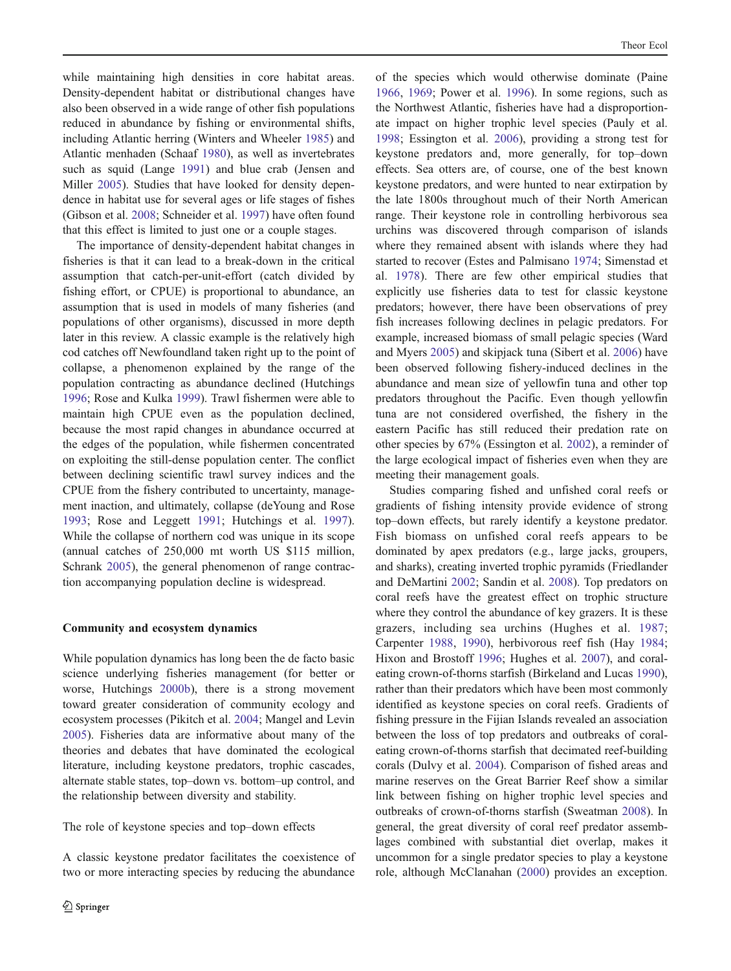<span id="page-5-0"></span>while maintaining high densities in core habitat areas. Density-dependent habitat or distributional changes have also been observed in a wide range of other fish populations reduced in abundance by fishing or environmental shifts, including Atlantic herring (Winters and Wheeler [1985\)](#page-19-0) and Atlantic menhaden (Schaaf [1980\)](#page-18-0), as well as invertebrates such as squid (Lange [1991\)](#page-16-0) and blue crab (Jensen and Miller [2005](#page-16-0)). Studies that have looked for density dependence in habitat use for several ages or life stages of fishes (Gibson et al. [2008](#page-15-0); Schneider et al. [1997](#page-18-0)) have often found that this effect is limited to just one or a couple stages.

The importance of density-dependent habitat changes in fisheries is that it can lead to a break-down in the critical assumption that catch-per-unit-effort (catch divided by fishing effort, or CPUE) is proportional to abundance, an assumption that is used in models of many fisheries (and populations of other organisms), discussed in more depth later in this review. A classic example is the relatively high cod catches off Newfoundland taken right up to the point of collapse, a phenomenon explained by the range of the population contracting as abundance declined (Hutchings [1996;](#page-16-0) Rose and Kulka [1999](#page-18-0)). Trawl fishermen were able to maintain high CPUE even as the population declined, because the most rapid changes in abundance occurred at the edges of the population, while fishermen concentrated on exploiting the still-dense population center. The conflict between declining scientific trawl survey indices and the CPUE from the fishery contributed to uncertainty, management inaction, and ultimately, collapse (deYoung and Rose [1993;](#page-15-0) Rose and Leggett [1991;](#page-18-0) Hutchings et al. [1997](#page-16-0)). While the collapse of northern cod was unique in its scope (annual catches of 250,000 mt worth US \$115 million, Schrank [2005](#page-18-0)), the general phenomenon of range contraction accompanying population decline is widespread.

#### Community and ecosystem dynamics

While population dynamics has long been the de facto basic science underlying fisheries management (for better or worse, Hutchings [2000b](#page-16-0)), there is a strong movement toward greater consideration of community ecology and ecosystem processes (Pikitch et al. [2004;](#page-18-0) Mangel and Levin [2005\)](#page-17-0). Fisheries data are informative about many of the theories and debates that have dominated the ecological literature, including keystone predators, trophic cascades, alternate stable states, top–down vs. bottom–up control, and the relationship between diversity and stability.

The role of keystone species and top–down effects

A classic keystone predator facilitates the coexistence of two or more interacting species by reducing the abundance

of the species which would otherwise dominate (Paine [1966](#page-17-0), [1969](#page-17-0); Power et al. [1996](#page-18-0)). In some regions, such as the Northwest Atlantic, fisheries have had a disproportionate impact on higher trophic level species (Pauly et al. [1998](#page-17-0); Essington et al. [2006\)](#page-15-0), providing a strong test for keystone predators and, more generally, for top–down effects. Sea otters are, of course, one of the best known keystone predators, and were hunted to near extirpation by the late 1800s throughout much of their North American range. Their keystone role in controlling herbivorous sea urchins was discovered through comparison of islands where they remained absent with islands where they had started to recover (Estes and Palmisano [1974](#page-15-0); Simenstad et al. [1978](#page-18-0)). There are few other empirical studies that explicitly use fisheries data to test for classic keystone predators; however, there have been observations of prey fish increases following declines in pelagic predators. For example, increased biomass of small pelagic species (Ward and Myers [2005\)](#page-19-0) and skipjack tuna (Sibert et al. [2006\)](#page-18-0) have been observed following fishery-induced declines in the abundance and mean size of yellowfin tuna and other top predators throughout the Pacific. Even though yellowfin tuna are not considered overfished, the fishery in the eastern Pacific has still reduced their predation rate on other species by 67% (Essington et al. [2002\)](#page-15-0), a reminder of the large ecological impact of fisheries even when they are meeting their management goals.

Studies comparing fished and unfished coral reefs or gradients of fishing intensity provide evidence of strong top–down effects, but rarely identify a keystone predator. Fish biomass on unfished coral reefs appears to be dominated by apex predators (e.g., large jacks, groupers, and sharks), creating inverted trophic pyramids (Friedlander and DeMartini [2002;](#page-15-0) Sandin et al. [2008](#page-18-0)). Top predators on coral reefs have the greatest effect on trophic structure where they control the abundance of key grazers. It is these grazers, including sea urchins (Hughes et al. [1987;](#page-16-0) Carpenter [1988](#page-14-0), [1990](#page-14-0)), herbivorous reef fish (Hay [1984;](#page-15-0) Hixon and Brostoff [1996](#page-16-0); Hughes et al. [2007\)](#page-16-0), and coraleating crown-of-thorns starfish (Birkeland and Lucas [1990\)](#page-14-0), rather than their predators which have been most commonly identified as keystone species on coral reefs. Gradients of fishing pressure in the Fijian Islands revealed an association between the loss of top predators and outbreaks of coraleating crown-of-thorns starfish that decimated reef-building corals (Dulvy et al. [2004](#page-15-0)). Comparison of fished areas and marine reserves on the Great Barrier Reef show a similar link between fishing on higher trophic level species and outbreaks of crown-of-thorns starfish (Sweatman [2008\)](#page-19-0). In general, the great diversity of coral reef predator assemblages combined with substantial diet overlap, makes it uncommon for a single predator species to play a keystone role, although McClanahan ([2000\)](#page-17-0) provides an exception.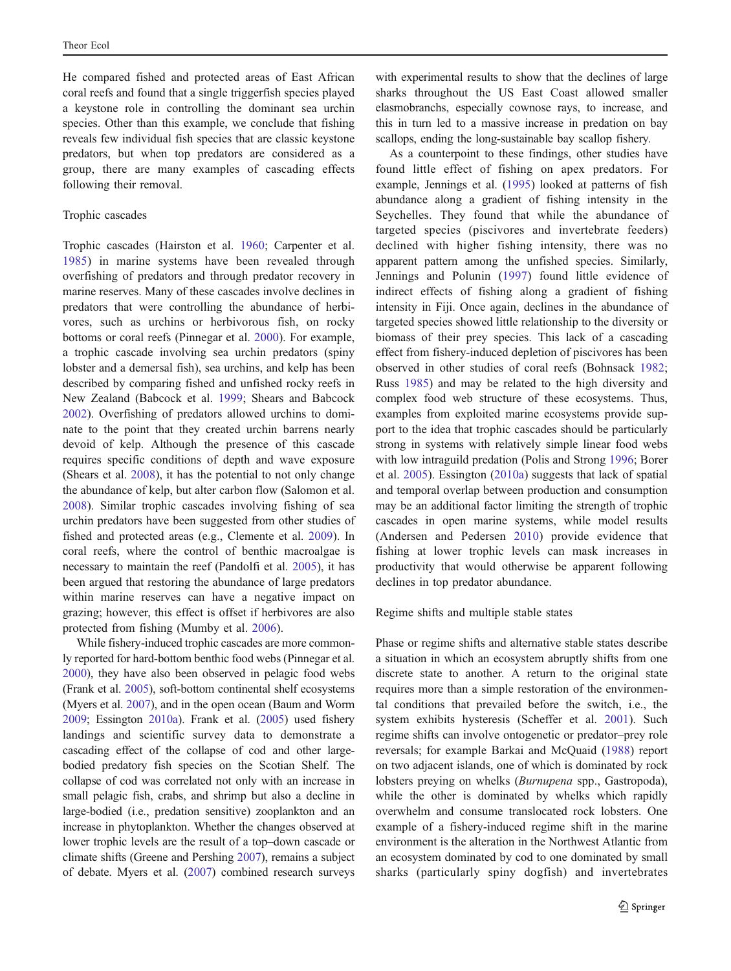He compared fished and protected areas of East African coral reefs and found that a single triggerfish species played a keystone role in controlling the dominant sea urchin species. Other than this example, we conclude that fishing reveals few individual fish species that are classic keystone predators, but when top predators are considered as a group, there are many examples of cascading effects following their removal.

#### Trophic cascades

Trophic cascades (Hairston et al. [1960;](#page-15-0) Carpenter et al. [1985](#page-14-0)) in marine systems have been revealed through overfishing of predators and through predator recovery in marine reserves. Many of these cascades involve declines in predators that were controlling the abundance of herbivores, such as urchins or herbivorous fish, on rocky bottoms or coral reefs (Pinnegar et al. [2000](#page-18-0)). For example, a trophic cascade involving sea urchin predators (spiny lobster and a demersal fish), sea urchins, and kelp has been described by comparing fished and unfished rocky reefs in New Zealand (Babcock et al. [1999;](#page-13-0) Shears and Babcock [2002\)](#page-18-0). Overfishing of predators allowed urchins to dominate to the point that they created urchin barrens nearly devoid of kelp. Although the presence of this cascade requires specific conditions of depth and wave exposure (Shears et al. [2008\)](#page-18-0), it has the potential to not only change the abundance of kelp, but alter carbon flow (Salomon et al. [2008\)](#page-18-0). Similar trophic cascades involving fishing of sea urchin predators have been suggested from other studies of fished and protected areas (e.g., Clemente et al. [2009](#page-14-0)). In coral reefs, where the control of benthic macroalgae is necessary to maintain the reef (Pandolfi et al. [2005](#page-17-0)), it has been argued that restoring the abundance of large predators within marine reserves can have a negative impact on grazing; however, this effect is offset if herbivores are also protected from fishing (Mumby et al. [2006](#page-17-0)).

While fishery-induced trophic cascades are more commonly reported for hard-bottom benthic food webs (Pinnegar et al. [2000\)](#page-18-0), they have also been observed in pelagic food webs (Frank et al. [2005](#page-15-0)), soft-bottom continental shelf ecosystems (Myers et al. [2007\)](#page-17-0), and in the open ocean (Baum and Worm [2009;](#page-14-0) Essington [2010a](#page-15-0)). Frank et al. [\(2005\)](#page-15-0) used fishery landings and scientific survey data to demonstrate a cascading effect of the collapse of cod and other largebodied predatory fish species on the Scotian Shelf. The collapse of cod was correlated not only with an increase in small pelagic fish, crabs, and shrimp but also a decline in large-bodied (i.e., predation sensitive) zooplankton and an increase in phytoplankton. Whether the changes observed at lower trophic levels are the result of a top–down cascade or climate shifts (Greene and Pershing [2007\)](#page-15-0), remains a subject of debate. Myers et al. [\(2007\)](#page-17-0) combined research surveys

with experimental results to show that the declines of large sharks throughout the US East Coast allowed smaller elasmobranchs, especially cownose rays, to increase, and this in turn led to a massive increase in predation on bay scallops, ending the long-sustainable bay scallop fishery.

As a counterpoint to these findings, other studies have found little effect of fishing on apex predators. For example, Jennings et al. ([1995\)](#page-16-0) looked at patterns of fish abundance along a gradient of fishing intensity in the Seychelles. They found that while the abundance of targeted species (piscivores and invertebrate feeders) declined with higher fishing intensity, there was no apparent pattern among the unfished species. Similarly, Jennings and Polunin ([1997\)](#page-16-0) found little evidence of indirect effects of fishing along a gradient of fishing intensity in Fiji. Once again, declines in the abundance of targeted species showed little relationship to the diversity or biomass of their prey species. This lack of a cascading effect from fishery-induced depletion of piscivores has been observed in other studies of coral reefs (Bohnsack [1982;](#page-14-0) Russ [1985\)](#page-18-0) and may be related to the high diversity and complex food web structure of these ecosystems. Thus, examples from exploited marine ecosystems provide support to the idea that trophic cascades should be particularly strong in systems with relatively simple linear food webs with low intraguild predation (Polis and Strong [1996](#page-18-0); Borer et al. [2005\)](#page-14-0). Essington ([2010a](#page-15-0)) suggests that lack of spatial and temporal overlap between production and consumption may be an additional factor limiting the strength of trophic cascades in open marine systems, while model results (Andersen and Pedersen [2010](#page-13-0)) provide evidence that fishing at lower trophic levels can mask increases in productivity that would otherwise be apparent following declines in top predator abundance.

Regime shifts and multiple stable states

Phase or regime shifts and alternative stable states describe a situation in which an ecosystem abruptly shifts from one discrete state to another. A return to the original state requires more than a simple restoration of the environmental conditions that prevailed before the switch, i.e., the system exhibits hysteresis (Scheffer et al. [2001\)](#page-18-0). Such regime shifts can involve ontogenetic or predator–prey role reversals; for example Barkai and McQuaid ([1988\)](#page-14-0) report on two adjacent islands, one of which is dominated by rock lobsters preying on whelks (Burnupena spp., Gastropoda), while the other is dominated by whelks which rapidly overwhelm and consume translocated rock lobsters. One example of a fishery-induced regime shift in the marine environment is the alteration in the Northwest Atlantic from an ecosystem dominated by cod to one dominated by small sharks (particularly spiny dogfish) and invertebrates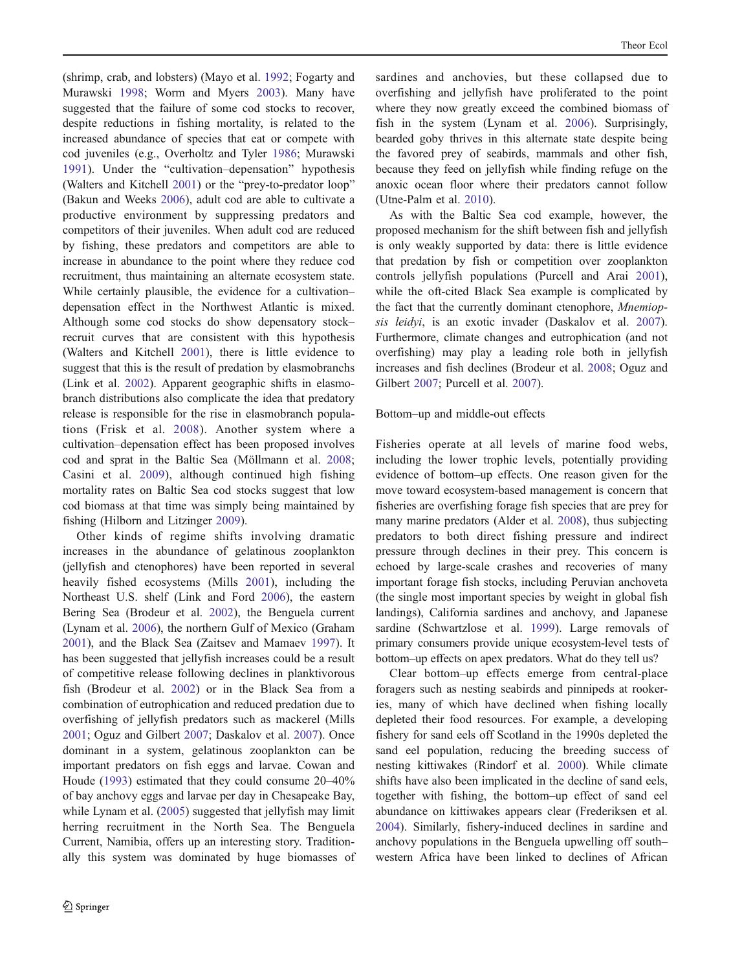(shrimp, crab, and lobsters) (Mayo et al. [1992](#page-17-0); Fogarty and Murawski [1998](#page-15-0); Worm and Myers [2003](#page-19-0)). Many have suggested that the failure of some cod stocks to recover, despite reductions in fishing mortality, is related to the increased abundance of species that eat or compete with cod juveniles (e.g., Overholtz and Tyler [1986;](#page-17-0) Murawski [1991](#page-17-0)). Under the "cultivation–depensation" hypothesis (Walters and Kitchell [2001\)](#page-19-0) or the "prey-to-predator loop" (Bakun and Weeks [2006](#page-14-0)), adult cod are able to cultivate a productive environment by suppressing predators and competitors of their juveniles. When adult cod are reduced by fishing, these predators and competitors are able to increase in abundance to the point where they reduce cod recruitment, thus maintaining an alternate ecosystem state. While certainly plausible, the evidence for a cultivation– depensation effect in the Northwest Atlantic is mixed. Although some cod stocks do show depensatory stock– recruit curves that are consistent with this hypothesis (Walters and Kitchell [2001\)](#page-19-0), there is little evidence to suggest that this is the result of predation by elasmobranchs (Link et al. [2002\)](#page-16-0). Apparent geographic shifts in elasmobranch distributions also complicate the idea that predatory release is responsible for the rise in elasmobranch populations (Frisk et al. [2008\)](#page-15-0). Another system where a cultivation–depensation effect has been proposed involves cod and sprat in the Baltic Sea (Möllmann et al. [2008](#page-17-0); Casini et al. [2009](#page-14-0)), although continued high fishing mortality rates on Baltic Sea cod stocks suggest that low cod biomass at that time was simply being maintained by fishing (Hilborn and Litzinger [2009](#page-15-0)).

Other kinds of regime shifts involving dramatic increases in the abundance of gelatinous zooplankton (jellyfish and ctenophores) have been reported in several heavily fished ecosystems (Mills [2001](#page-17-0)), including the Northeast U.S. shelf (Link and Ford [2006\)](#page-16-0), the eastern Bering Sea (Brodeur et al. [2002](#page-14-0)), the Benguela current (Lynam et al. [2006\)](#page-17-0), the northern Gulf of Mexico (Graham [2001\)](#page-15-0), and the Black Sea (Zaitsev and Mamaev [1997](#page-19-0)). It has been suggested that jellyfish increases could be a result of competitive release following declines in planktivorous fish (Brodeur et al. [2002\)](#page-14-0) or in the Black Sea from a combination of eutrophication and reduced predation due to overfishing of jellyfish predators such as mackerel (Mills [2001;](#page-17-0) Oguz and Gilbert [2007](#page-17-0); Daskalov et al. [2007](#page-14-0)). Once dominant in a system, gelatinous zooplankton can be important predators on fish eggs and larvae. Cowan and Houde [\(1993](#page-14-0)) estimated that they could consume 20–40% of bay anchovy eggs and larvae per day in Chesapeake Bay, while Lynam et al. ([2005\)](#page-16-0) suggested that jellyfish may limit herring recruitment in the North Sea. The Benguela Current, Namibia, offers up an interesting story. Traditionally this system was dominated by huge biomasses of sardines and anchovies, but these collapsed due to overfishing and jellyfish have proliferated to the point where they now greatly exceed the combined biomass of fish in the system (Lynam et al. [2006\)](#page-17-0). Surprisingly, bearded goby thrives in this alternate state despite being the favored prey of seabirds, mammals and other fish, because they feed on jellyfish while finding refuge on the anoxic ocean floor where their predators cannot follow (Utne-Palm et al. [2010\)](#page-19-0).

As with the Baltic Sea cod example, however, the proposed mechanism for the shift between fish and jellyfish is only weakly supported by data: there is little evidence that predation by fish or competition over zooplankton controls jellyfish populations (Purcell and Arai [2001](#page-18-0)), while the oft-cited Black Sea example is complicated by the fact that the currently dominant ctenophore, *Mnemiop*sis leidyi, is an exotic invader (Daskalov et al. [2007\)](#page-14-0). Furthermore, climate changes and eutrophication (and not overfishing) may play a leading role both in jellyfish increases and fish declines (Brodeur et al. [2008](#page-14-0); Oguz and Gilbert [2007](#page-17-0); Purcell et al. [2007\)](#page-18-0).

## Bottom–up and middle-out effects

Fisheries operate at all levels of marine food webs, including the lower trophic levels, potentially providing evidence of bottom–up effects. One reason given for the move toward ecosystem-based management is concern that fisheries are overfishing forage fish species that are prey for many marine predators (Alder et al. [2008\)](#page-13-0), thus subjecting predators to both direct fishing pressure and indirect pressure through declines in their prey. This concern is echoed by large-scale crashes and recoveries of many important forage fish stocks, including Peruvian anchoveta (the single most important species by weight in global fish landings), California sardines and anchovy, and Japanese sardine (Schwartzlose et al. [1999](#page-18-0)). Large removals of primary consumers provide unique ecosystem-level tests of bottom–up effects on apex predators. What do they tell us?

Clear bottom–up effects emerge from central-place foragers such as nesting seabirds and pinnipeds at rookeries, many of which have declined when fishing locally depleted their food resources. For example, a developing fishery for sand eels off Scotland in the 1990s depleted the sand eel population, reducing the breeding success of nesting kittiwakes (Rindorf et al. [2000](#page-18-0)). While climate shifts have also been implicated in the decline of sand eels, together with fishing, the bottom–up effect of sand eel abundance on kittiwakes appears clear (Frederiksen et al. [2004](#page-15-0)). Similarly, fishery-induced declines in sardine and anchovy populations in the Benguela upwelling off south– western Africa have been linked to declines of African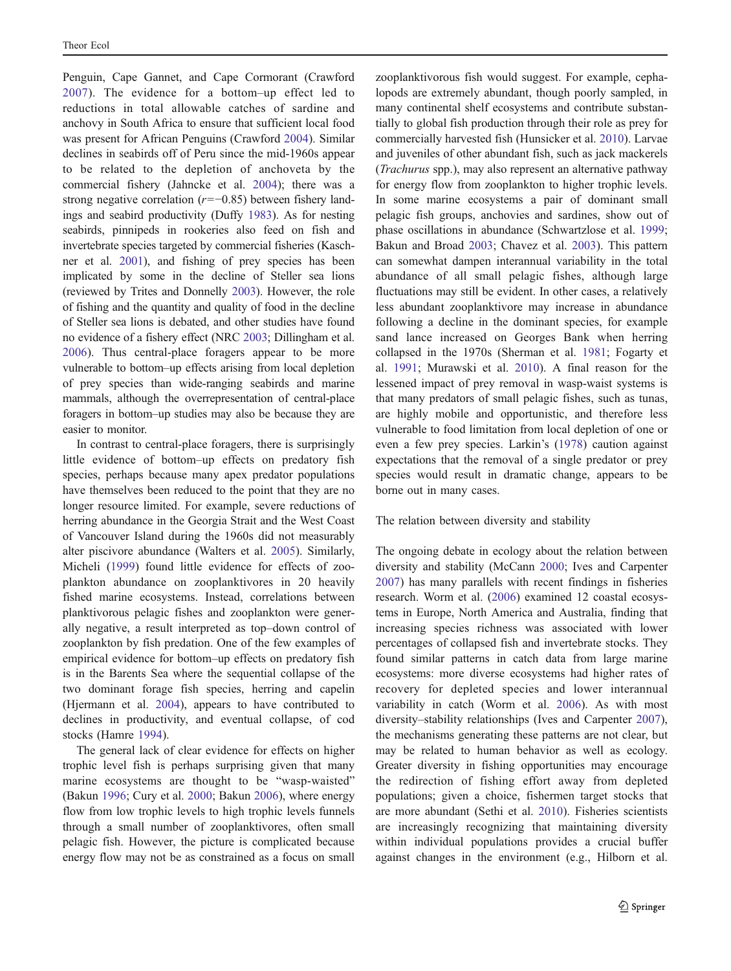Penguin, Cape Gannet, and Cape Cormorant (Crawford [2007\)](#page-14-0). The evidence for a bottom–up effect led to reductions in total allowable catches of sardine and anchovy in South Africa to ensure that sufficient local food was present for African Penguins (Crawford [2004\)](#page-14-0). Similar declines in seabirds off of Peru since the mid-1960s appear to be related to the depletion of anchoveta by the commercial fishery (Jahncke et al. [2004](#page-16-0)); there was a strong negative correlation ( $r=-0.85$ ) between fishery landings and seabird productivity (Duffy [1983\)](#page-15-0). As for nesting seabirds, pinnipeds in rookeries also feed on fish and invertebrate species targeted by commercial fisheries (Kaschner et al. [2001\)](#page-16-0), and fishing of prey species has been implicated by some in the decline of Steller sea lions (reviewed by Trites and Donnelly [2003\)](#page-19-0). However, the role of fishing and the quantity and quality of food in the decline of Steller sea lions is debated, and other studies have found no evidence of a fishery effect (NRC [2003;](#page-17-0) Dillingham et al. [2006](#page-15-0)). Thus central-place foragers appear to be more vulnerable to bottom–up effects arising from local depletion of prey species than wide-ranging seabirds and marine mammals, although the overrepresentation of central-place foragers in bottom–up studies may also be because they are easier to monitor.

In contrast to central-place foragers, there is surprisingly little evidence of bottom–up effects on predatory fish species, perhaps because many apex predator populations have themselves been reduced to the point that they are no longer resource limited. For example, severe reductions of herring abundance in the Georgia Strait and the West Coast of Vancouver Island during the 1960s did not measurably alter piscivore abundance (Walters et al. [2005\)](#page-19-0). Similarly, Micheli [\(1999](#page-17-0)) found little evidence for effects of zooplankton abundance on zooplanktivores in 20 heavily fished marine ecosystems. Instead, correlations between planktivorous pelagic fishes and zooplankton were generally negative, a result interpreted as top–down control of zooplankton by fish predation. One of the few examples of empirical evidence for bottom–up effects on predatory fish is in the Barents Sea where the sequential collapse of the two dominant forage fish species, herring and capelin (Hjermann et al. [2004\)](#page-16-0), appears to have contributed to declines in productivity, and eventual collapse, of cod stocks (Hamre [1994](#page-15-0)).

The general lack of clear evidence for effects on higher trophic level fish is perhaps surprising given that many marine ecosystems are thought to be "wasp-waisted" (Bakun [1996;](#page-14-0) Cury et al. [2000;](#page-14-0) Bakun [2006](#page-14-0)), where energy flow from low trophic levels to high trophic levels funnels through a small number of zooplanktivores, often small pelagic fish. However, the picture is complicated because energy flow may not be as constrained as a focus on small zooplanktivorous fish would suggest. For example, cephalopods are extremely abundant, though poorly sampled, in many continental shelf ecosystems and contribute substantially to global fish production through their role as prey for commercially harvested fish (Hunsicker et al. [2010\)](#page-16-0). Larvae and juveniles of other abundant fish, such as jack mackerels (Trachurus spp.), may also represent an alternative pathway for energy flow from zooplankton to higher trophic levels. In some marine ecosystems a pair of dominant small pelagic fish groups, anchovies and sardines, show out of phase oscillations in abundance (Schwartzlose et al. [1999;](#page-18-0) Bakun and Broad [2003;](#page-14-0) Chavez et al. [2003](#page-14-0)). This pattern can somewhat dampen interannual variability in the total abundance of all small pelagic fishes, although large fluctuations may still be evident. In other cases, a relatively less abundant zooplanktivore may increase in abundance following a decline in the dominant species, for example sand lance increased on Georges Bank when herring collapsed in the 1970s (Sherman et al. [1981](#page-18-0); Fogarty et al. [1991;](#page-15-0) Murawski et al. [2010\)](#page-17-0). A final reason for the lessened impact of prey removal in wasp-waist systems is that many predators of small pelagic fishes, such as tunas, are highly mobile and opportunistic, and therefore less vulnerable to food limitation from local depletion of one or even a few prey species. Larkin's [\(1978](#page-16-0)) caution against expectations that the removal of a single predator or prey species would result in dramatic change, appears to be borne out in many cases.

## The relation between diversity and stability

The ongoing debate in ecology about the relation between diversity and stability (McCann [2000](#page-17-0); Ives and Carpenter [2007](#page-16-0)) has many parallels with recent findings in fisheries research. Worm et al. ([2006\)](#page-19-0) examined 12 coastal ecosystems in Europe, North America and Australia, finding that increasing species richness was associated with lower percentages of collapsed fish and invertebrate stocks. They found similar patterns in catch data from large marine ecosystems: more diverse ecosystems had higher rates of recovery for depleted species and lower interannual variability in catch (Worm et al. [2006\)](#page-19-0). As with most diversity–stability relationships (Ives and Carpenter [2007\)](#page-16-0), the mechanisms generating these patterns are not clear, but may be related to human behavior as well as ecology. Greater diversity in fishing opportunities may encourage the redirection of fishing effort away from depleted populations; given a choice, fishermen target stocks that are more abundant (Sethi et al. [2010\)](#page-18-0). Fisheries scientists are increasingly recognizing that maintaining diversity within individual populations provides a crucial buffer against changes in the environment (e.g., Hilborn et al.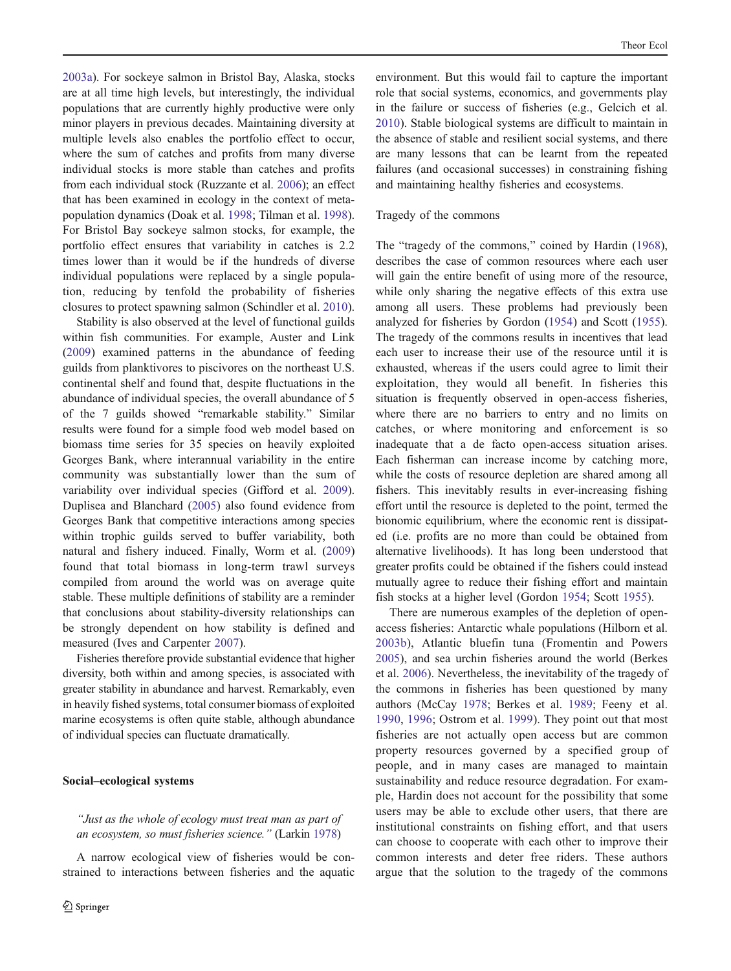[2003a](#page-15-0)). For sockeye salmon in Bristol Bay, Alaska, stocks are at all time high levels, but interestingly, the individual populations that are currently highly productive were only minor players in previous decades. Maintaining diversity at multiple levels also enables the portfolio effect to occur, where the sum of catches and profits from many diverse individual stocks is more stable than catches and profits from each individual stock (Ruzzante et al. [2006\)](#page-18-0); an effect that has been examined in ecology in the context of metapopulation dynamics (Doak et al. [1998;](#page-15-0) Tilman et al. [1998](#page-19-0)). For Bristol Bay sockeye salmon stocks, for example, the portfolio effect ensures that variability in catches is 2.2 times lower than it would be if the hundreds of diverse individual populations were replaced by a single population, reducing by tenfold the probability of fisheries closures to protect spawning salmon (Schindler et al. [2010](#page-18-0)).

Stability is also observed at the level of functional guilds within fish communities. For example, Auster and Link [\(2009](#page-13-0)) examined patterns in the abundance of feeding guilds from planktivores to piscivores on the northeast U.S. continental shelf and found that, despite fluctuations in the abundance of individual species, the overall abundance of 5 of the 7 guilds showed "remarkable stability." Similar results were found for a simple food web model based on biomass time series for 35 species on heavily exploited Georges Bank, where interannual variability in the entire community was substantially lower than the sum of variability over individual species (Gifford et al. [2009](#page-15-0)). Duplisea and Blanchard [\(2005](#page-15-0)) also found evidence from Georges Bank that competitive interactions among species within trophic guilds served to buffer variability, both natural and fishery induced. Finally, Worm et al. ([2009\)](#page-19-0) found that total biomass in long-term trawl surveys compiled from around the world was on average quite stable. These multiple definitions of stability are a reminder that conclusions about stability-diversity relationships can be strongly dependent on how stability is defined and measured (Ives and Carpenter [2007\)](#page-16-0).

Fisheries therefore provide substantial evidence that higher diversity, both within and among species, is associated with greater stability in abundance and harvest. Remarkably, even in heavily fished systems, total consumer biomass of exploited marine ecosystems is often quite stable, although abundance of individual species can fluctuate dramatically.

#### Social–ecological systems

"Just as the whole of ecology must treat man as part of an ecosystem, so must fisheries science." (Larkin [1978\)](#page-16-0)

A narrow ecological view of fisheries would be constrained to interactions between fisheries and the aquatic

environment. But this would fail to capture the important role that social systems, economics, and governments play in the failure or success of fisheries (e.g., Gelcich et al. [2010](#page-15-0)). Stable biological systems are difficult to maintain in the absence of stable and resilient social systems, and there are many lessons that can be learnt from the repeated failures (and occasional successes) in constraining fishing and maintaining healthy fisheries and ecosystems.

#### Tragedy of the commons

The "tragedy of the commons," coined by Hardin ([1968\)](#page-15-0), describes the case of common resources where each user will gain the entire benefit of using more of the resource, while only sharing the negative effects of this extra use among all users. These problems had previously been analyzed for fisheries by Gordon [\(1954](#page-15-0)) and Scott ([1955\)](#page-18-0). The tragedy of the commons results in incentives that lead each user to increase their use of the resource until it is exhausted, whereas if the users could agree to limit their exploitation, they would all benefit. In fisheries this situation is frequently observed in open-access fisheries, where there are no barriers to entry and no limits on catches, or where monitoring and enforcement is so inadequate that a de facto open-access situation arises. Each fisherman can increase income by catching more, while the costs of resource depletion are shared among all fishers. This inevitably results in ever-increasing fishing effort until the resource is depleted to the point, termed the bionomic equilibrium, where the economic rent is dissipated (i.e. profits are no more than could be obtained from alternative livelihoods). It has long been understood that greater profits could be obtained if the fishers could instead mutually agree to reduce their fishing effort and maintain fish stocks at a higher level (Gordon [1954](#page-15-0); Scott [1955\)](#page-18-0).

There are numerous examples of the depletion of openaccess fisheries: Antarctic whale populations (Hilborn et al. [2003b\)](#page-15-0), Atlantic bluefin tuna (Fromentin and Powers [2005](#page-15-0)), and sea urchin fisheries around the world (Berkes et al. [2006](#page-14-0)). Nevertheless, the inevitability of the tragedy of the commons in fisheries has been questioned by many authors (McCay [1978](#page-17-0); Berkes et al. [1989](#page-14-0); Feeny et al. [1990](#page-15-0), [1996](#page-15-0); Ostrom et al. [1999](#page-17-0)). They point out that most fisheries are not actually open access but are common property resources governed by a specified group of people, and in many cases are managed to maintain sustainability and reduce resource degradation. For example, Hardin does not account for the possibility that some users may be able to exclude other users, that there are institutional constraints on fishing effort, and that users can choose to cooperate with each other to improve their common interests and deter free riders. These authors argue that the solution to the tragedy of the commons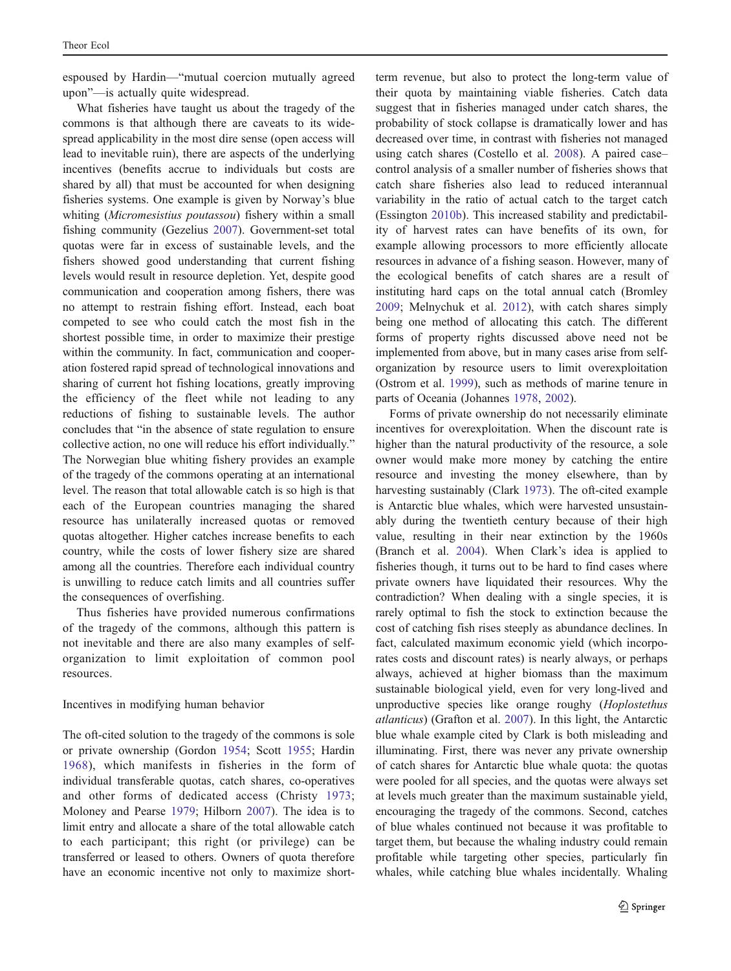espoused by Hardin—"mutual coercion mutually agreed upon"—is actually quite widespread.

What fisheries have taught us about the tragedy of the commons is that although there are caveats to its widespread applicability in the most dire sense (open access will lead to inevitable ruin), there are aspects of the underlying incentives (benefits accrue to individuals but costs are shared by all) that must be accounted for when designing fisheries systems. One example is given by Norway's blue whiting (Micromesistius poutassou) fishery within a small fishing community (Gezelius [2007\)](#page-15-0). Government-set total quotas were far in excess of sustainable levels, and the fishers showed good understanding that current fishing levels would result in resource depletion. Yet, despite good communication and cooperation among fishers, there was no attempt to restrain fishing effort. Instead, each boat competed to see who could catch the most fish in the shortest possible time, in order to maximize their prestige within the community. In fact, communication and cooperation fostered rapid spread of technological innovations and sharing of current hot fishing locations, greatly improving the efficiency of the fleet while not leading to any reductions of fishing to sustainable levels. The author concludes that "in the absence of state regulation to ensure collective action, no one will reduce his effort individually." The Norwegian blue whiting fishery provides an example of the tragedy of the commons operating at an international level. The reason that total allowable catch is so high is that each of the European countries managing the shared resource has unilaterally increased quotas or removed quotas altogether. Higher catches increase benefits to each country, while the costs of lower fishery size are shared among all the countries. Therefore each individual country is unwilling to reduce catch limits and all countries suffer the consequences of overfishing.

Thus fisheries have provided numerous confirmations of the tragedy of the commons, although this pattern is not inevitable and there are also many examples of selforganization to limit exploitation of common pool resources.

## Incentives in modifying human behavior

The oft-cited solution to the tragedy of the commons is sole or private ownership (Gordon [1954](#page-15-0); Scott [1955](#page-18-0); Hardin [1968\)](#page-15-0), which manifests in fisheries in the form of individual transferable quotas, catch shares, co-operatives and other forms of dedicated access (Christy [1973](#page-14-0); Moloney and Pearse [1979](#page-17-0); Hilborn [2007\)](#page-15-0). The idea is to limit entry and allocate a share of the total allowable catch to each participant; this right (or privilege) can be transferred or leased to others. Owners of quota therefore have an economic incentive not only to maximize short-

term revenue, but also to protect the long-term value of their quota by maintaining viable fisheries. Catch data suggest that in fisheries managed under catch shares, the probability of stock collapse is dramatically lower and has decreased over time, in contrast with fisheries not managed using catch shares (Costello et al. [2008\)](#page-14-0). A paired case– control analysis of a smaller number of fisheries shows that catch share fisheries also lead to reduced interannual variability in the ratio of actual catch to the target catch (Essington [2010b\)](#page-15-0). This increased stability and predictability of harvest rates can have benefits of its own, for example allowing processors to more efficiently allocate resources in advance of a fishing season. However, many of the ecological benefits of catch shares are a result of instituting hard caps on the total annual catch (Bromley [2009](#page-14-0); Melnychuk et al. [2012\)](#page-17-0), with catch shares simply being one method of allocating this catch. The different forms of property rights discussed above need not be implemented from above, but in many cases arise from selforganization by resource users to limit overexploitation (Ostrom et al. [1999](#page-17-0)), such as methods of marine tenure in parts of Oceania (Johannes [1978,](#page-16-0) [2002](#page-16-0)).

Forms of private ownership do not necessarily eliminate incentives for overexploitation. When the discount rate is higher than the natural productivity of the resource, a sole owner would make more money by catching the entire resource and investing the money elsewhere, than by harvesting sustainably (Clark [1973\)](#page-14-0). The oft-cited example is Antarctic blue whales, which were harvested unsustainably during the twentieth century because of their high value, resulting in their near extinction by the 1960s (Branch et al. [2004\)](#page-14-0). When Clark's idea is applied to fisheries though, it turns out to be hard to find cases where private owners have liquidated their resources. Why the contradiction? When dealing with a single species, it is rarely optimal to fish the stock to extinction because the cost of catching fish rises steeply as abundance declines. In fact, calculated maximum economic yield (which incorporates costs and discount rates) is nearly always, or perhaps always, achieved at higher biomass than the maximum sustainable biological yield, even for very long-lived and unproductive species like orange roughy (Hoplostethus atlanticus) (Grafton et al. [2007](#page-15-0)). In this light, the Antarctic blue whale example cited by Clark is both misleading and illuminating. First, there was never any private ownership of catch shares for Antarctic blue whale quota: the quotas were pooled for all species, and the quotas were always set at levels much greater than the maximum sustainable yield, encouraging the tragedy of the commons. Second, catches of blue whales continued not because it was profitable to target them, but because the whaling industry could remain profitable while targeting other species, particularly fin whales, while catching blue whales incidentally. Whaling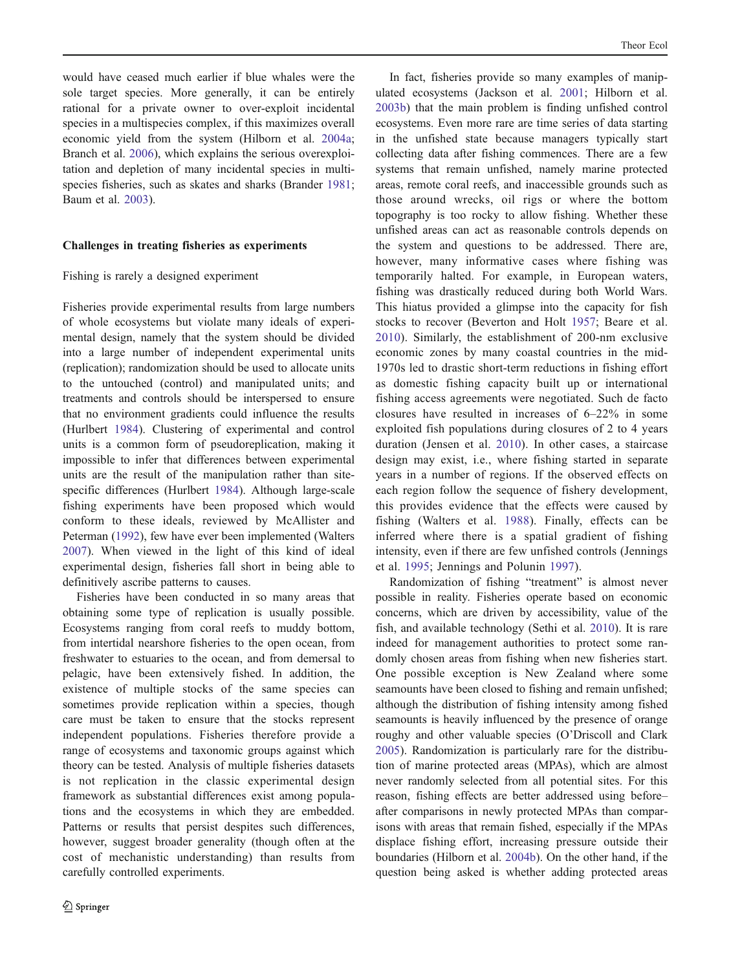would have ceased much earlier if blue whales were the sole target species. More generally, it can be entirely rational for a private owner to over-exploit incidental species in a multispecies complex, if this maximizes overall economic yield from the system (Hilborn et al. [2004a](#page-16-0); Branch et al. [2006](#page-14-0)), which explains the serious overexploitation and depletion of many incidental species in multispecies fisheries, such as skates and sharks (Brander [1981](#page-14-0); Baum et al. [2003](#page-14-0)).

#### Challenges in treating fisheries as experiments

## Fishing is rarely a designed experiment

Fisheries provide experimental results from large numbers of whole ecosystems but violate many ideals of experimental design, namely that the system should be divided into a large number of independent experimental units (replication); randomization should be used to allocate units to the untouched (control) and manipulated units; and treatments and controls should be interspersed to ensure that no environment gradients could influence the results (Hurlbert [1984](#page-16-0)). Clustering of experimental and control units is a common form of pseudoreplication, making it impossible to infer that differences between experimental units are the result of the manipulation rather than sitespecific differences (Hurlbert [1984\)](#page-16-0). Although large-scale fishing experiments have been proposed which would conform to these ideals, reviewed by McAllister and Peterman [\(1992](#page-17-0)), few have ever been implemented (Walters [2007\)](#page-19-0). When viewed in the light of this kind of ideal experimental design, fisheries fall short in being able to definitively ascribe patterns to causes.

Fisheries have been conducted in so many areas that obtaining some type of replication is usually possible. Ecosystems ranging from coral reefs to muddy bottom, from intertidal nearshore fisheries to the open ocean, from freshwater to estuaries to the ocean, and from demersal to pelagic, have been extensively fished. In addition, the existence of multiple stocks of the same species can sometimes provide replication within a species, though care must be taken to ensure that the stocks represent independent populations. Fisheries therefore provide a range of ecosystems and taxonomic groups against which theory can be tested. Analysis of multiple fisheries datasets is not replication in the classic experimental design framework as substantial differences exist among populations and the ecosystems in which they are embedded. Patterns or results that persist despites such differences, however, suggest broader generality (though often at the cost of mechanistic understanding) than results from carefully controlled experiments.

In fact, fisheries provide so many examples of manipulated ecosystems (Jackson et al. [2001](#page-16-0); Hilborn et al. [2003b](#page-15-0)) that the main problem is finding unfished control ecosystems. Even more rare are time series of data starting in the unfished state because managers typically start collecting data after fishing commences. There are a few systems that remain unfished, namely marine protected areas, remote coral reefs, and inaccessible grounds such as those around wrecks, oil rigs or where the bottom topography is too rocky to allow fishing. Whether these unfished areas can act as reasonable controls depends on the system and questions to be addressed. There are, however, many informative cases where fishing was temporarily halted. For example, in European waters, fishing was drastically reduced during both World Wars. This hiatus provided a glimpse into the capacity for fish stocks to recover (Beverton and Holt [1957;](#page-14-0) Beare et al. [2010](#page-14-0)). Similarly, the establishment of 200-nm exclusive economic zones by many coastal countries in the mid-1970s led to drastic short-term reductions in fishing effort as domestic fishing capacity built up or international fishing access agreements were negotiated. Such de facto closures have resulted in increases of 6–22% in some exploited fish populations during closures of 2 to 4 years duration (Jensen et al. [2010\)](#page-16-0). In other cases, a staircase design may exist, i.e., where fishing started in separate years in a number of regions. If the observed effects on each region follow the sequence of fishery development, this provides evidence that the effects were caused by fishing (Walters et al. [1988\)](#page-19-0). Finally, effects can be inferred where there is a spatial gradient of fishing intensity, even if there are few unfished controls (Jennings et al. [1995](#page-16-0); Jennings and Polunin [1997](#page-16-0)).

Randomization of fishing "treatment" is almost never possible in reality. Fisheries operate based on economic concerns, which are driven by accessibility, value of the fish, and available technology (Sethi et al. [2010\)](#page-18-0). It is rare indeed for management authorities to protect some randomly chosen areas from fishing when new fisheries start. One possible exception is New Zealand where some seamounts have been closed to fishing and remain unfished; although the distribution of fishing intensity among fished seamounts is heavily influenced by the presence of orange roughy and other valuable species (O'Driscoll and Clark [2005](#page-17-0)). Randomization is particularly rare for the distribution of marine protected areas (MPAs), which are almost never randomly selected from all potential sites. For this reason, fishing effects are better addressed using before– after comparisons in newly protected MPAs than comparisons with areas that remain fished, especially if the MPAs displace fishing effort, increasing pressure outside their boundaries (Hilborn et al. [2004b\)](#page-16-0). On the other hand, if the question being asked is whether adding protected areas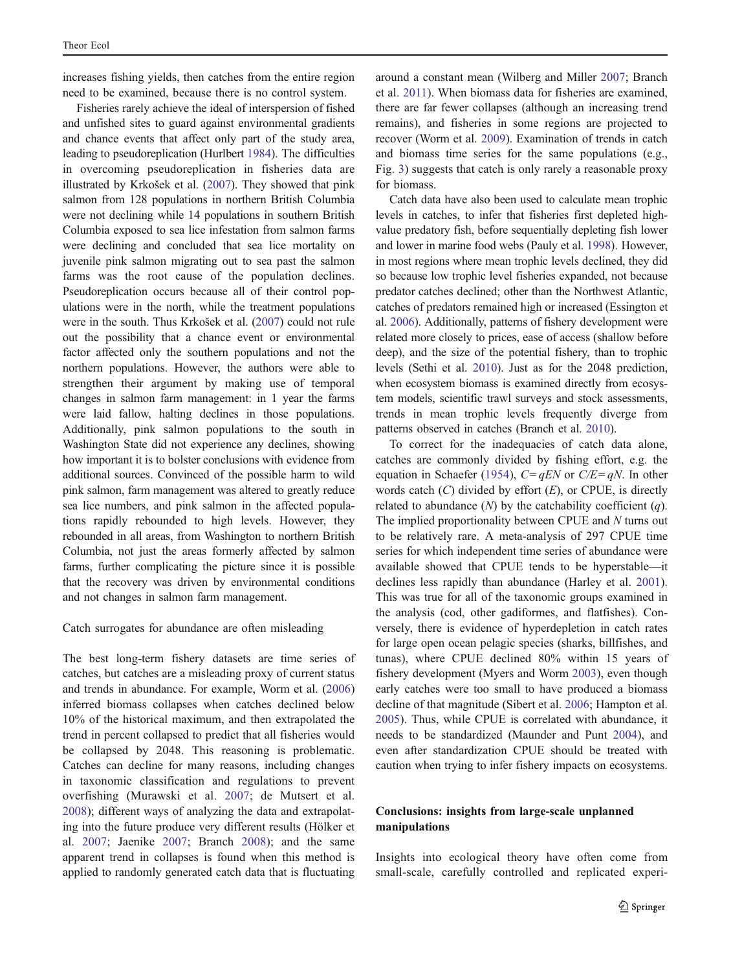increases fishing yields, then catches from the entire region need to be examined, because there is no control system.

Fisheries rarely achieve the ideal of interspersion of fished and unfished sites to guard against environmental gradients and chance events that affect only part of the study area, leading to pseudoreplication (Hurlbert [1984\)](#page-16-0). The difficulties in overcoming pseudoreplication in fisheries data are illustrated by Krkošek et al. ([2007](#page-16-0)). They showed that pink salmon from 128 populations in northern British Columbia were not declining while 14 populations in southern British Columbia exposed to sea lice infestation from salmon farms were declining and concluded that sea lice mortality on juvenile pink salmon migrating out to sea past the salmon farms was the root cause of the population declines. Pseudoreplication occurs because all of their control populations were in the north, while the treatment populations were in the south. Thus Krkošek et al. [\(2007\)](#page-16-0) could not rule out the possibility that a chance event or environmental factor affected only the southern populations and not the northern populations. However, the authors were able to strengthen their argument by making use of temporal changes in salmon farm management: in 1 year the farms were laid fallow, halting declines in those populations. Additionally, pink salmon populations to the south in Washington State did not experience any declines, showing how important it is to bolster conclusions with evidence from additional sources. Convinced of the possible harm to wild pink salmon, farm management was altered to greatly reduce sea lice numbers, and pink salmon in the affected populations rapidly rebounded to high levels. However, they rebounded in all areas, from Washington to northern British Columbia, not just the areas formerly affected by salmon farms, further complicating the picture since it is possible that the recovery was driven by environmental conditions and not changes in salmon farm management.

## Catch surrogates for abundance are often misleading

The best long-term fishery datasets are time series of catches, but catches are a misleading proxy of current status and trends in abundance. For example, Worm et al. ([2006\)](#page-19-0) inferred biomass collapses when catches declined below 10% of the historical maximum, and then extrapolated the trend in percent collapsed to predict that all fisheries would be collapsed by 2048. This reasoning is problematic. Catches can decline for many reasons, including changes in taxonomic classification and regulations to prevent overfishing (Murawski et al. [2007](#page-17-0); de Mutsert et al. [2008\)](#page-15-0); different ways of analyzing the data and extrapolating into the future produce very different results (Hölker et al. [2007](#page-16-0); Jaenike [2007;](#page-16-0) Branch [2008](#page-14-0)); and the same apparent trend in collapses is found when this method is applied to randomly generated catch data that is fluctuating around a constant mean (Wilberg and Miller [2007;](#page-19-0) Branch et al. [2011](#page-14-0)). When biomass data for fisheries are examined, there are far fewer collapses (although an increasing trend remains), and fisheries in some regions are projected to recover (Worm et al. [2009](#page-19-0)). Examination of trends in catch and biomass time series for the same populations (e.g., Fig. [3\)](#page-13-0) suggests that catch is only rarely a reasonable proxy for biomass.

Catch data have also been used to calculate mean trophic levels in catches, to infer that fisheries first depleted highvalue predatory fish, before sequentially depleting fish lower and lower in marine food webs (Pauly et al. [1998\)](#page-17-0). However, in most regions where mean trophic levels declined, they did so because low trophic level fisheries expanded, not because predator catches declined; other than the Northwest Atlantic, catches of predators remained high or increased (Essington et al. [2006\)](#page-15-0). Additionally, patterns of fishery development were related more closely to prices, ease of access (shallow before deep), and the size of the potential fishery, than to trophic levels (Sethi et al. [2010\)](#page-18-0). Just as for the 2048 prediction, when ecosystem biomass is examined directly from ecosystem models, scientific trawl surveys and stock assessments, trends in mean trophic levels frequently diverge from patterns observed in catches (Branch et al. [2010](#page-14-0)).

To correct for the inadequacies of catch data alone, catches are commonly divided by fishing effort, e.g. the equation in Schaefer [\(1954](#page-18-0)),  $C=qEN$  or  $C/E=qN$ . In other words catch  $(C)$  divided by effort  $(E)$ , or CPUE, is directly related to abundance  $(N)$  by the catchability coefficient  $(q)$ . The implied proportionality between CPUE and N turns out to be relatively rare. A meta-analysis of 297 CPUE time series for which independent time series of abundance were available showed that CPUE tends to be hyperstable—it declines less rapidly than abundance (Harley et al. [2001\)](#page-15-0). This was true for all of the taxonomic groups examined in the analysis (cod, other gadiformes, and flatfishes). Conversely, there is evidence of hyperdepletion in catch rates for large open ocean pelagic species (sharks, billfishes, and tunas), where CPUE declined 80% within 15 years of fishery development (Myers and Worm [2003](#page-17-0)), even though early catches were too small to have produced a biomass decline of that magnitude (Sibert et al. [2006](#page-18-0); Hampton et al. [2005](#page-15-0)). Thus, while CPUE is correlated with abundance, it needs to be standardized (Maunder and Punt [2004\)](#page-17-0), and even after standardization CPUE should be treated with caution when trying to infer fishery impacts on ecosystems.

## Conclusions: insights from large-scale unplanned manipulations

Insights into ecological theory have often come from small-scale, carefully controlled and replicated experi-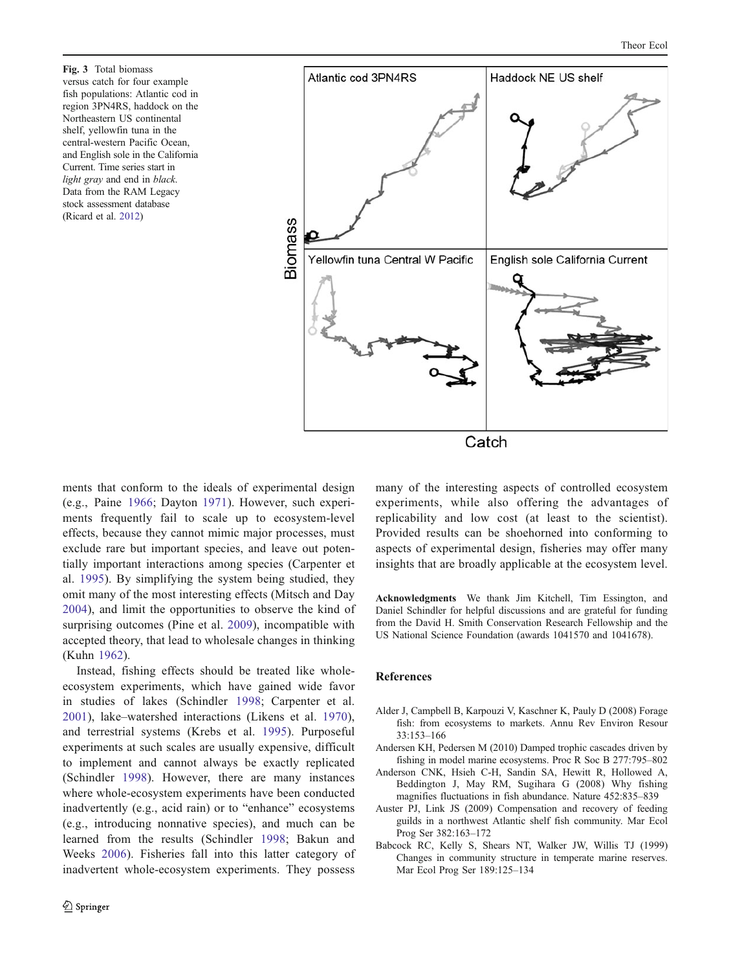<span id="page-13-0"></span>Fig. 3 Total biomass versus catch for four example fish populations: Atlantic cod in region 3PN4RS, haddock on the Northeastern US continental shelf, yellowfin tuna in the central-western Pacific Ocean, and English sole in the California Current. Time series start in light gray and end in black. Data from the RAM Legacy stock assessment database (Ricard et al. [2012\)](#page-18-0)





ments that conform to the ideals of experimental design (e.g., Paine [1966;](#page-17-0) Dayton [1971](#page-14-0)). However, such experiments frequently fail to scale up to ecosystem-level effects, because they cannot mimic major processes, must exclude rare but important species, and leave out potentially important interactions among species (Carpenter et al. [1995](#page-14-0)). By simplifying the system being studied, they omit many of the most interesting effects (Mitsch and Day [2004](#page-17-0)), and limit the opportunities to observe the kind of surprising outcomes (Pine et al. [2009\)](#page-18-0), incompatible with accepted theory, that lead to wholesale changes in thinking (Kuhn [1962\)](#page-16-0).

Instead, fishing effects should be treated like wholeecosystem experiments, which have gained wide favor in studies of lakes (Schindler [1998;](#page-18-0) Carpenter et al. [2001](#page-14-0)), lake–watershed interactions (Likens et al. [1970](#page-16-0)), and terrestrial systems (Krebs et al. [1995](#page-16-0)). Purposeful experiments at such scales are usually expensive, difficult to implement and cannot always be exactly replicated (Schindler [1998](#page-18-0)). However, there are many instances where whole-ecosystem experiments have been conducted inadvertently (e.g., acid rain) or to "enhance" ecosystems (e.g., introducing nonnative species), and much can be learned from the results (Schindler [1998;](#page-18-0) Bakun and Weeks [2006](#page-14-0)). Fisheries fall into this latter category of inadvertent whole-ecosystem experiments. They possess

many of the interesting aspects of controlled ecosystem experiments, while also offering the advantages of replicability and low cost (at least to the scientist). Provided results can be shoehorned into conforming to aspects of experimental design, fisheries may offer many insights that are broadly applicable at the ecosystem level.

Acknowledgments We thank Jim Kitchell, Tim Essington, and Daniel Schindler for helpful discussions and are grateful for funding from the David H. Smith Conservation Research Fellowship and the US National Science Foundation (awards 1041570 and 1041678).

## References

- Alder J, Campbell B, Karpouzi V, Kaschner K, Pauly D (2008) Forage fish: from ecosystems to markets. Annu Rev Environ Resour 33:153–166
- Andersen KH, Pedersen M (2010) Damped trophic cascades driven by fishing in model marine ecosystems. Proc R Soc B 277:795–802
- Anderson CNK, Hsieh C-H, Sandin SA, Hewitt R, Hollowed A, Beddington J, May RM, Sugihara G (2008) Why fishing magnifies fluctuations in fish abundance. Nature 452:835–839
- Auster PJ, Link JS (2009) Compensation and recovery of feeding guilds in a northwest Atlantic shelf fish community. Mar Ecol Prog Ser 382:163–172
- Babcock RC, Kelly S, Shears NT, Walker JW, Willis TJ (1999) Changes in community structure in temperate marine reserves. Mar Ecol Prog Ser 189:125–134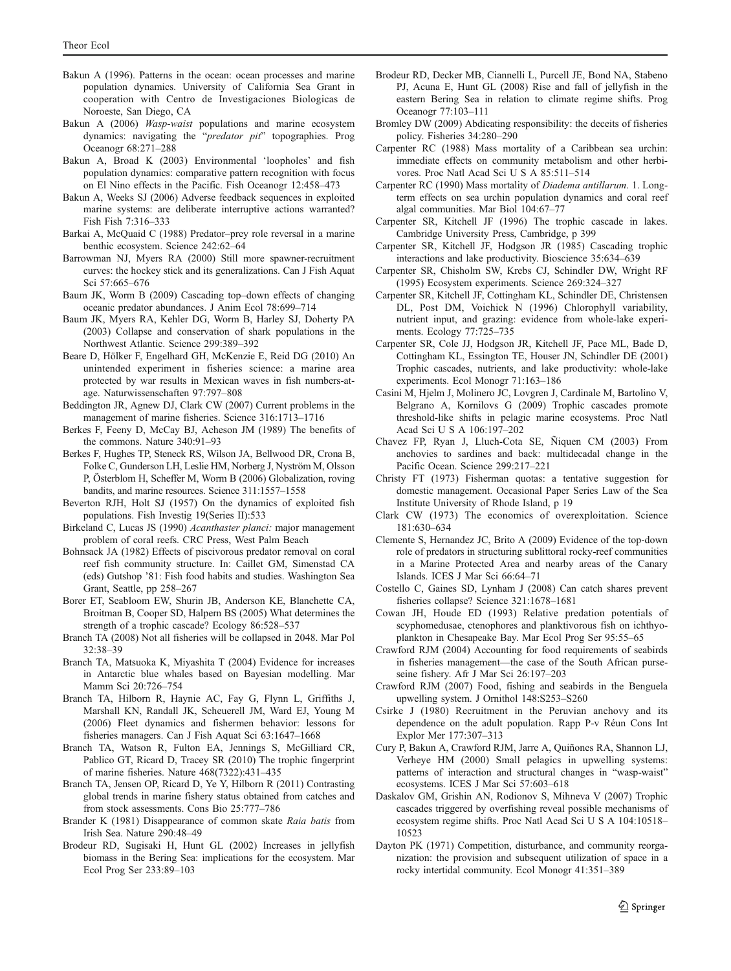- <span id="page-14-0"></span>Bakun A (1996). Patterns in the ocean: ocean processes and marine population dynamics. University of California Sea Grant in cooperation with Centro de Investigaciones Biologicas de Noroeste, San Diego, CA
- Bakun A (2006) Wasp-waist populations and marine ecosystem dynamics: navigating the "predator pit" topographies. Prog Oceanogr 68:271–288
- Bakun A, Broad K (2003) Environmental 'loopholes' and fish population dynamics: comparative pattern recognition with focus on El Nino effects in the Pacific. Fish Oceanogr 12:458–473
- Bakun A, Weeks SJ (2006) Adverse feedback sequences in exploited marine systems: are deliberate interruptive actions warranted? Fish Fish 7:316–333
- Barkai A, McQuaid C (1988) Predator–prey role reversal in a marine benthic ecosystem. Science 242:62–64
- Barrowman NJ, Myers RA (2000) Still more spawner-recruitment curves: the hockey stick and its generalizations. Can J Fish Aquat Sci 57:665–676
- Baum JK, Worm B (2009) Cascading top–down effects of changing oceanic predator abundances. J Anim Ecol 78:699–714
- Baum JK, Myers RA, Kehler DG, Worm B, Harley SJ, Doherty PA (2003) Collapse and conservation of shark populations in the Northwest Atlantic. Science 299:389–392
- Beare D, Hölker F, Engelhard GH, McKenzie E, Reid DG (2010) An unintended experiment in fisheries science: a marine area protected by war results in Mexican waves in fish numbers-atage. Naturwissenschaften 97:797–808
- Beddington JR, Agnew DJ, Clark CW (2007) Current problems in the management of marine fisheries. Science 316:1713–1716
- Berkes F, Feeny D, McCay BJ, Acheson JM (1989) The benefits of the commons. Nature 340:91–93
- Berkes F, Hughes TP, Steneck RS, Wilson JA, Bellwood DR, Crona B, Folke C, Gunderson LH, Leslie HM, Norberg J, Nyström M, Olsson P, Österblom H, Scheffer M, Worm B (2006) Globalization, roving bandits, and marine resources. Science 311:1557–1558
- Beverton RJH, Holt SJ (1957) On the dynamics of exploited fish populations. Fish Investig 19(Series II):533
- Birkeland C, Lucas JS (1990) Acanthaster planci: major management problem of coral reefs. CRC Press, West Palm Beach
- Bohnsack JA (1982) Effects of piscivorous predator removal on coral reef fish community structure. In: Caillet GM, Simenstad CA (eds) Gutshop '81: Fish food habits and studies. Washington Sea Grant, Seattle, pp 258–267
- Borer ET, Seabloom EW, Shurin JB, Anderson KE, Blanchette CA, Broitman B, Cooper SD, Halpern BS (2005) What determines the strength of a trophic cascade? Ecology 86:528–537
- Branch TA (2008) Not all fisheries will be collapsed in 2048. Mar Pol 32:38–39
- Branch TA, Matsuoka K, Miyashita T (2004) Evidence for increases in Antarctic blue whales based on Bayesian modelling. Mar Mamm Sci 20:726–754
- Branch TA, Hilborn R, Haynie AC, Fay G, Flynn L, Griffiths J, Marshall KN, Randall JK, Scheuerell JM, Ward EJ, Young M (2006) Fleet dynamics and fishermen behavior: lessons for fisheries managers. Can J Fish Aquat Sci 63:1647–1668
- Branch TA, Watson R, Fulton EA, Jennings S, McGilliard CR, Pablico GT, Ricard D, Tracey SR (2010) The trophic fingerprint of marine fisheries. Nature 468(7322):431–435
- Branch TA, Jensen OP, Ricard D, Ye Y, Hilborn R (2011) Contrasting global trends in marine fishery status obtained from catches and from stock assessments. Cons Bio 25:777–786
- Brander K (1981) Disappearance of common skate Raia batis from Irish Sea. Nature 290:48–49
- Brodeur RD, Sugisaki H, Hunt GL (2002) Increases in jellyfish biomass in the Bering Sea: implications for the ecosystem. Mar Ecol Prog Ser 233:89–103
- Brodeur RD, Decker MB, Ciannelli L, Purcell JE, Bond NA, Stabeno PJ, Acuna E, Hunt GL (2008) Rise and fall of jellyfish in the eastern Bering Sea in relation to climate regime shifts. Prog Oceanogr 77:103–111
- Bromley DW (2009) Abdicating responsibility: the deceits of fisheries policy. Fisheries 34:280–290
- Carpenter RC (1988) Mass mortality of a Caribbean sea urchin: immediate effects on community metabolism and other herbivores. Proc Natl Acad Sci U S A 85:511–514
- Carpenter RC (1990) Mass mortality of Diadema antillarum. 1. Longterm effects on sea urchin population dynamics and coral reef algal communities. Mar Biol 104:67–77
- Carpenter SR, Kitchell JF (1996) The trophic cascade in lakes. Cambridge University Press, Cambridge, p 399
- Carpenter SR, Kitchell JF, Hodgson JR (1985) Cascading trophic interactions and lake productivity. Bioscience 35:634–639
- Carpenter SR, Chisholm SW, Krebs CJ, Schindler DW, Wright RF (1995) Ecosystem experiments. Science 269:324–327
- Carpenter SR, Kitchell JF, Cottingham KL, Schindler DE, Christensen DL, Post DM, Voichick N (1996) Chlorophyll variability, nutrient input, and grazing: evidence from whole-lake experiments. Ecology 77:725–735
- Carpenter SR, Cole JJ, Hodgson JR, Kitchell JF, Pace ML, Bade D, Cottingham KL, Essington TE, Houser JN, Schindler DE (2001) Trophic cascades, nutrients, and lake productivity: whole-lake experiments. Ecol Monogr 71:163–186
- Casini M, Hjelm J, Molinero JC, Lovgren J, Cardinale M, Bartolino V, Belgrano A, Kornilovs G (2009) Trophic cascades promote threshold-like shifts in pelagic marine ecosystems. Proc Natl Acad Sci U S A 106:197–202
- Chavez FP, Ryan J, Lluch-Cota SE, Ñiquen CM (2003) From anchovies to sardines and back: multidecadal change in the Pacific Ocean. Science 299:217–221
- Christy FT (1973) Fisherman quotas: a tentative suggestion for domestic management. Occasional Paper Series Law of the Sea Institute University of Rhode Island, p 19
- Clark CW (1973) The economics of overexploitation. Science 181:630–634
- Clemente S, Hernandez JC, Brito A (2009) Evidence of the top-down role of predators in structuring sublittoral rocky-reef communities in a Marine Protected Area and nearby areas of the Canary Islands. ICES J Mar Sci 66:64–71
- Costello C, Gaines SD, Lynham J (2008) Can catch shares prevent fisheries collapse? Science 321:1678–1681
- Cowan JH, Houde ED (1993) Relative predation potentials of scyphomedusae, ctenophores and planktivorous fish on ichthyoplankton in Chesapeake Bay. Mar Ecol Prog Ser 95:55–65
- Crawford RJM (2004) Accounting for food requirements of seabirds in fisheries management—the case of the South African purseseine fishery. Afr J Mar Sci 26:197–203
- Crawford RJM (2007) Food, fishing and seabirds in the Benguela upwelling system. J Ornithol 148:S253–S260
- Csirke J (1980) Recruitment in the Peruvian anchovy and its dependence on the adult population. Rapp P-v Réun Cons Int Explor Mer 177:307–313
- Cury P, Bakun A, Crawford RJM, Jarre A, Quiñones RA, Shannon LJ, Verheye HM (2000) Small pelagics in upwelling systems: patterns of interaction and structural changes in "wasp-waist" ecosystems. ICES J Mar Sci 57:603–618
- Daskalov GM, Grishin AN, Rodionov S, Mihneva V (2007) Trophic cascades triggered by overfishing reveal possible mechanisms of ecosystem regime shifts. Proc Natl Acad Sci U S A 104:10518– 10523
- Dayton PK (1971) Competition, disturbance, and community reorganization: the provision and subsequent utilization of space in a rocky intertidal community. Ecol Monogr 41:351–389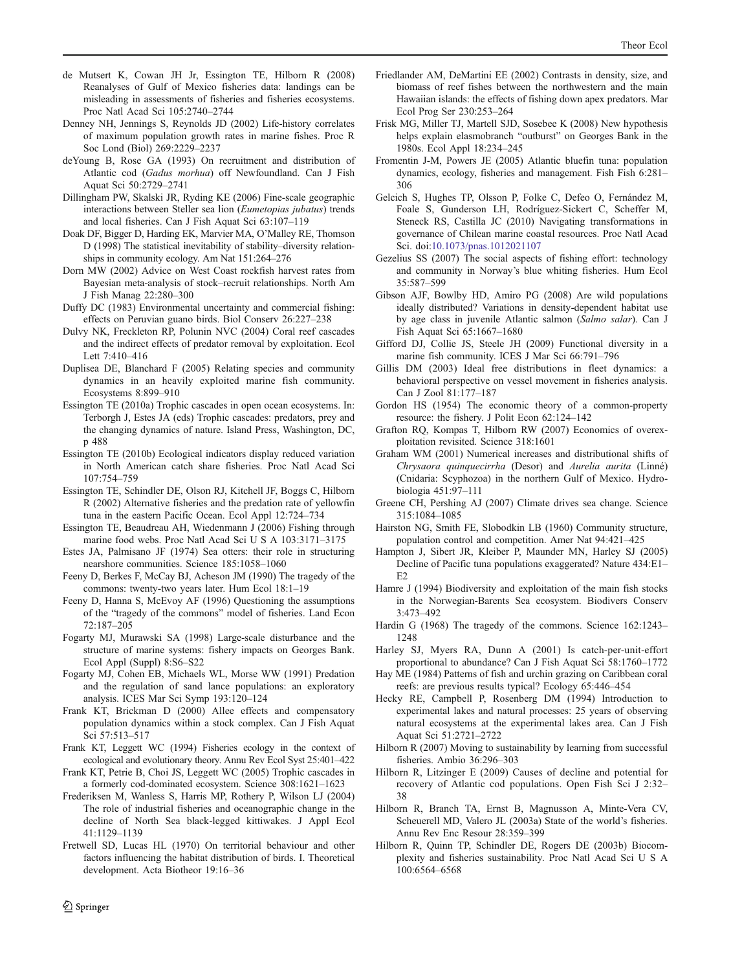- <span id="page-15-0"></span>de Mutsert K, Cowan JH Jr, Essington TE, Hilborn R (2008) Reanalyses of Gulf of Mexico fisheries data: landings can be misleading in assessments of fisheries and fisheries ecosystems. Proc Natl Acad Sci 105:2740–2744
- Denney NH, Jennings S, Reynolds JD (2002) Life-history correlates of maximum population growth rates in marine fishes. Proc R Soc Lond (Biol) 269:2229–2237
- deYoung B, Rose GA (1993) On recruitment and distribution of Atlantic cod (Gadus morhua) off Newfoundland. Can J Fish Aquat Sci 50:2729–2741
- Dillingham PW, Skalski JR, Ryding KE (2006) Fine-scale geographic interactions between Steller sea lion (Eumetopias jubatus) trends and local fisheries. Can J Fish Aquat Sci 63:107–119
- Doak DF, Bigger D, Harding EK, Marvier MA, O'Malley RE, Thomson D (1998) The statistical inevitability of stability–diversity relationships in community ecology. Am Nat 151:264–276
- Dorn MW (2002) Advice on West Coast rockfish harvest rates from Bayesian meta-analysis of stock–recruit relationships. North Am J Fish Manag 22:280–300
- Duffy DC (1983) Environmental uncertainty and commercial fishing: effects on Peruvian guano birds. Biol Conserv 26:227–238
- Dulvy NK, Freckleton RP, Polunin NVC (2004) Coral reef cascades and the indirect effects of predator removal by exploitation. Ecol Lett 7:410–416
- Duplisea DE, Blanchard F (2005) Relating species and community dynamics in an heavily exploited marine fish community. Ecosystems 8:899–910
- Essington TE (2010a) Trophic cascades in open ocean ecosystems. In: Terborgh J, Estes JA (eds) Trophic cascades: predators, prey and the changing dynamics of nature. Island Press, Washington, DC, p 488
- Essington TE (2010b) Ecological indicators display reduced variation in North American catch share fisheries. Proc Natl Acad Sci 107:754–759
- Essington TE, Schindler DE, Olson RJ, Kitchell JF, Boggs C, Hilborn R (2002) Alternative fisheries and the predation rate of yellowfin tuna in the eastern Pacific Ocean. Ecol Appl 12:724–734
- Essington TE, Beaudreau AH, Wiedenmann J (2006) Fishing through marine food webs. Proc Natl Acad Sci U S A 103:3171–3175
- Estes JA, Palmisano JF (1974) Sea otters: their role in structuring nearshore communities. Science 185:1058–1060
- Feeny D, Berkes F, McCay BJ, Acheson JM (1990) The tragedy of the commons: twenty-two years later. Hum Ecol 18:1–19
- Feeny D, Hanna S, McEvoy AF (1996) Questioning the assumptions of the "tragedy of the commons" model of fisheries. Land Econ 72:187–205
- Fogarty MJ, Murawski SA (1998) Large-scale disturbance and the structure of marine systems: fishery impacts on Georges Bank. Ecol Appl (Suppl) 8:S6–S22
- Fogarty MJ, Cohen EB, Michaels WL, Morse WW (1991) Predation and the regulation of sand lance populations: an exploratory analysis. ICES Mar Sci Symp 193:120–124
- Frank KT, Brickman D (2000) Allee effects and compensatory population dynamics within a stock complex. Can J Fish Aquat Sci 57:513–517
- Frank KT, Leggett WC (1994) Fisheries ecology in the context of ecological and evolutionary theory. Annu Rev Ecol Syst 25:401–422
- Frank KT, Petrie B, Choi JS, Leggett WC (2005) Trophic cascades in a formerly cod-dominated ecosystem. Science 308:1621–1623
- Frederiksen M, Wanless S, Harris MP, Rothery P, Wilson LJ (2004) The role of industrial fisheries and oceanographic change in the decline of North Sea black-legged kittiwakes. J Appl Ecol 41:1129–1139
- Fretwell SD, Lucas HL (1970) On territorial behaviour and other factors influencing the habitat distribution of birds. I. Theoretical development. Acta Biotheor 19:16–36
- Friedlander AM, DeMartini EE (2002) Contrasts in density, size, and biomass of reef fishes between the northwestern and the main Hawaiian islands: the effects of fishing down apex predators. Mar Ecol Prog Ser 230:253–264
- Frisk MG, Miller TJ, Martell SJD, Sosebee K (2008) New hypothesis helps explain elasmobranch "outburst" on Georges Bank in the 1980s. Ecol Appl 18:234–245
- Fromentin J-M, Powers JE (2005) Atlantic bluefin tuna: population dynamics, ecology, fisheries and management. Fish Fish 6:281– 306
- Gelcich S, Hughes TP, Olsson P, Folke C, Defeo O, Fernández M, Foale S, Gunderson LH, Rodríguez-Sickert C, Scheffer M, Steneck RS, Castilla JC (2010) Navigating transformations in governance of Chilean marine coastal resources. Proc Natl Acad Sci. doi:[10.1073/pnas.1012021107](http://dx.doi.org/10.1073/pnas.1012021107)
- Gezelius SS (2007) The social aspects of fishing effort: technology and community in Norway's blue whiting fisheries. Hum Ecol 35:587–599
- Gibson AJF, Bowlby HD, Amiro PG (2008) Are wild populations ideally distributed? Variations in density-dependent habitat use by age class in juvenile Atlantic salmon (Salmo salar). Can J Fish Aquat Sci 65:1667–1680
- Gifford DJ, Collie JS, Steele JH (2009) Functional diversity in a marine fish community. ICES J Mar Sci 66:791–796
- Gillis DM (2003) Ideal free distributions in fleet dynamics: a behavioral perspective on vessel movement in fisheries analysis. Can J Zool 81:177–187
- Gordon HS (1954) The economic theory of a common-property resource: the fishery. J Polit Econ 62:124–142
- Grafton RQ, Kompas T, Hilborn RW (2007) Economics of overexploitation revisited. Science 318:1601
- Graham WM (2001) Numerical increases and distributional shifts of Chrysaora quinquecirrha (Desor) and Aurelia aurita (Linné) (Cnidaria: Scyphozoa) in the northern Gulf of Mexico. Hydrobiologia 451:97–111
- Greene CH, Pershing AJ (2007) Climate drives sea change. Science 315:1084–1085
- Hairston NG, Smith FE, Slobodkin LB (1960) Community structure, population control and competition. Amer Nat 94:421–425
- Hampton J, Sibert JR, Kleiber P, Maunder MN, Harley SJ (2005) Decline of Pacific tuna populations exaggerated? Nature 434:E1– E2
- Hamre J (1994) Biodiversity and exploitation of the main fish stocks in the Norwegian-Barents Sea ecosystem. Biodivers Conserv 3:473–492
- Hardin G (1968) The tragedy of the commons. Science 162:1243– 1248
- Harley SJ, Myers RA, Dunn A (2001) Is catch-per-unit-effort proportional to abundance? Can J Fish Aquat Sci 58:1760–1772
- Hay ME (1984) Patterns of fish and urchin grazing on Caribbean coral reefs: are previous results typical? Ecology 65:446–454
- Hecky RE, Campbell P, Rosenberg DM (1994) Introduction to experimental lakes and natural processes: 25 years of observing natural ecosystems at the experimental lakes area. Can J Fish Aquat Sci 51:2721–2722
- Hilborn R (2007) Moving to sustainability by learning from successful fisheries. Ambio 36:296–303
- Hilborn R, Litzinger E (2009) Causes of decline and potential for recovery of Atlantic cod populations. Open Fish Sci J 2:32– 38
- Hilborn R, Branch TA, Ernst B, Magnusson A, Minte-Vera CV, Scheuerell MD, Valero JL (2003a) State of the world's fisheries. Annu Rev Enc Resour 28:359–399
- Hilborn R, Quinn TP, Schindler DE, Rogers DE (2003b) Biocomplexity and fisheries sustainability. Proc Natl Acad Sci U S A 100:6564–6568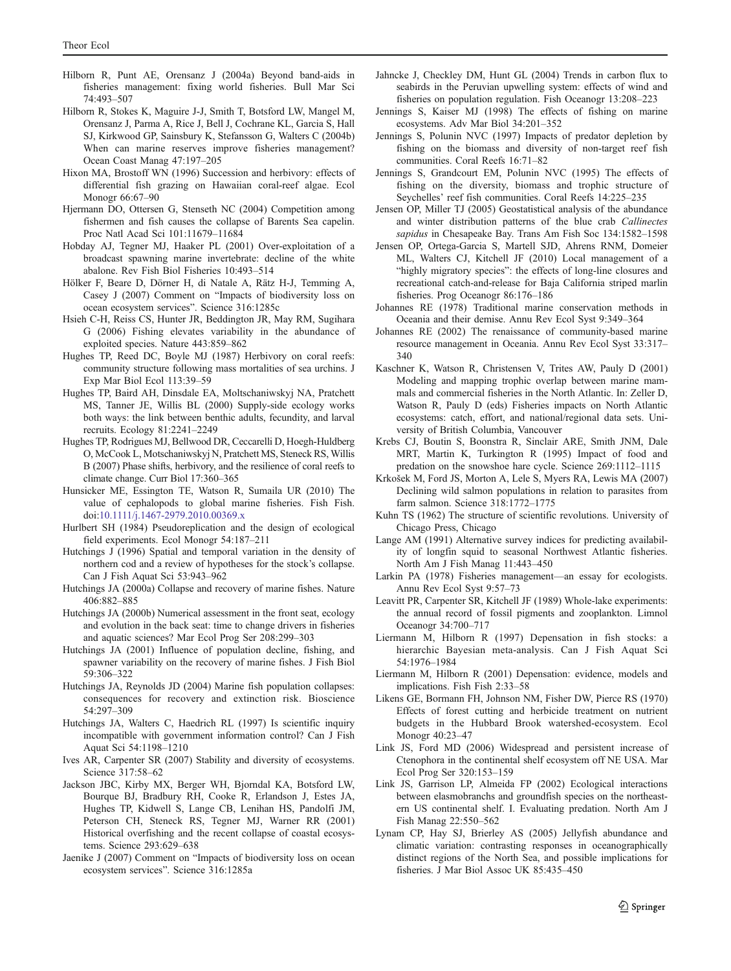- <span id="page-16-0"></span>Hilborn R, Punt AE, Orensanz J (2004a) Beyond band-aids in fisheries management: fixing world fisheries. Bull Mar Sci 74:493–507
- Hilborn R, Stokes K, Maguire J-J, Smith T, Botsford LW, Mangel M, Orensanz J, Parma A, Rice J, Bell J, Cochrane KL, Garcia S, Hall SJ, Kirkwood GP, Sainsbury K, Stefansson G, Walters C (2004b) When can marine reserves improve fisheries management? Ocean Coast Manag 47:197–205
- Hixon MA, Brostoff WN (1996) Succession and herbivory: effects of differential fish grazing on Hawaiian coral-reef algae. Ecol Monogr 66:67–90
- Hjermann DO, Ottersen G, Stenseth NC (2004) Competition among fishermen and fish causes the collapse of Barents Sea capelin. Proc Natl Acad Sci 101:11679–11684
- Hobday AJ, Tegner MJ, Haaker PL (2001) Over-exploitation of a broadcast spawning marine invertebrate: decline of the white abalone. Rev Fish Biol Fisheries 10:493–514
- Hölker F, Beare D, Dörner H, di Natale A, Rätz H-J, Temming A, Casey J (2007) Comment on "Impacts of biodiversity loss on ocean ecosystem services". Science 316:1285c
- Hsieh C-H, Reiss CS, Hunter JR, Beddington JR, May RM, Sugihara G (2006) Fishing elevates variability in the abundance of exploited species. Nature 443:859–862
- Hughes TP, Reed DC, Boyle MJ (1987) Herbivory on coral reefs: community structure following mass mortalities of sea urchins. J Exp Mar Biol Ecol 113:39–59
- Hughes TP, Baird AH, Dinsdale EA, Moltschaniwskyj NA, Pratchett MS, Tanner JE, Willis BL (2000) Supply-side ecology works both ways: the link between benthic adults, fecundity, and larval recruits. Ecology 81:2241–2249
- Hughes TP, Rodrigues MJ, Bellwood DR, Ceccarelli D, Hoegh-Huldberg O, McCook L, Motschaniwskyj N, Pratchett MS, Steneck RS, Willis B (2007) Phase shifts, herbivory, and the resilience of coral reefs to climate change. Curr Biol 17:360–365
- Hunsicker ME, Essington TE, Watson R, Sumaila UR (2010) The value of cephalopods to global marine fisheries. Fish Fish. doi[:10.1111/j.1467-2979.2010.00369.x](http://dx.doi.org/10.1111/j.1467-2979.2010.00369.x)
- Hurlbert SH (1984) Pseudoreplication and the design of ecological field experiments. Ecol Monogr 54:187–211
- Hutchings J (1996) Spatial and temporal variation in the density of northern cod and a review of hypotheses for the stock's collapse. Can J Fish Aquat Sci 53:943–962
- Hutchings JA (2000a) Collapse and recovery of marine fishes. Nature 406:882–885
- Hutchings JA (2000b) Numerical assessment in the front seat, ecology and evolution in the back seat: time to change drivers in fisheries and aquatic sciences? Mar Ecol Prog Ser 208:299–303
- Hutchings JA (2001) Influence of population decline, fishing, and spawner variability on the recovery of marine fishes. J Fish Biol 59:306–322
- Hutchings JA, Reynolds JD (2004) Marine fish population collapses: consequences for recovery and extinction risk. Bioscience 54:297–309
- Hutchings JA, Walters C, Haedrich RL (1997) Is scientific inquiry incompatible with government information control? Can J Fish Aquat Sci 54:1198–1210
- Ives AR, Carpenter SR (2007) Stability and diversity of ecosystems. Science 317:58–62
- Jackson JBC, Kirby MX, Berger WH, Bjorndal KA, Botsford LW, Bourque BJ, Bradbury RH, Cooke R, Erlandson J, Estes JA, Hughes TP, Kidwell S, Lange CB, Lenihan HS, Pandolfi JM, Peterson CH, Steneck RS, Tegner MJ, Warner RR (2001) Historical overfishing and the recent collapse of coastal ecosystems. Science 293:629–638
- Jaenike J (2007) Comment on "Impacts of biodiversity loss on ocean ecosystem services". Science 316:1285a
- Jahncke J, Checkley DM, Hunt GL (2004) Trends in carbon flux to seabirds in the Peruvian upwelling system: effects of wind and fisheries on population regulation. Fish Oceanogr 13:208–223
- Jennings S, Kaiser MJ (1998) The effects of fishing on marine ecosystems. Adv Mar Biol 34:201–352
- Jennings S, Polunin NVC (1997) Impacts of predator depletion by fishing on the biomass and diversity of non-target reef fish communities. Coral Reefs 16:71–82
- Jennings S, Grandcourt EM, Polunin NVC (1995) The effects of fishing on the diversity, biomass and trophic structure of Seychelles' reef fish communities. Coral Reefs 14:225–235
- Jensen OP, Miller TJ (2005) Geostatistical analysis of the abundance and winter distribution patterns of the blue crab Callinectes sapidus in Chesapeake Bay. Trans Am Fish Soc 134:1582–1598
- Jensen OP, Ortega-Garcia S, Martell SJD, Ahrens RNM, Domeier ML, Walters CJ, Kitchell JF (2010) Local management of a "highly migratory species": the effects of long-line closures and recreational catch-and-release for Baja California striped marlin fisheries. Prog Oceanogr 86:176–186
- Johannes RE (1978) Traditional marine conservation methods in Oceania and their demise. Annu Rev Ecol Syst 9:349–364
- Johannes RE (2002) The renaissance of community-based marine resource management in Oceania. Annu Rev Ecol Syst 33:317– 340
- Kaschner K, Watson R, Christensen V, Trites AW, Pauly D (2001) Modeling and mapping trophic overlap between marine mammals and commercial fisheries in the North Atlantic. In: Zeller D, Watson R, Pauly D (eds) Fisheries impacts on North Atlantic ecosystems: catch, effort, and national/regional data sets. University of British Columbia, Vancouver
- Krebs CJ, Boutin S, Boonstra R, Sinclair ARE, Smith JNM, Dale MRT, Martin K, Turkington R (1995) Impact of food and predation on the snowshoe hare cycle. Science 269:1112–1115
- Krkošek M, Ford JS, Morton A, Lele S, Myers RA, Lewis MA (2007) Declining wild salmon populations in relation to parasites from farm salmon. Science 318:1772–1775
- Kuhn TS (1962) The structure of scientific revolutions. University of Chicago Press, Chicago
- Lange AM (1991) Alternative survey indices for predicting availability of longfin squid to seasonal Northwest Atlantic fisheries. North Am J Fish Manag 11:443–450
- Larkin PA (1978) Fisheries management—an essay for ecologists. Annu Rev Ecol Syst 9:57–73
- Leavitt PR, Carpenter SR, Kitchell JF (1989) Whole-lake experiments: the annual record of fossil pigments and zooplankton. Limnol Oceanogr 34:700–717
- Liermann M, Hilborn R (1997) Depensation in fish stocks: a hierarchic Bayesian meta-analysis. Can J Fish Aquat Sci 54:1976–1984
- Liermann M, Hilborn R (2001) Depensation: evidence, models and implications. Fish Fish 2:33–58
- Likens GE, Bormann FH, Johnson NM, Fisher DW, Pierce RS (1970) Effects of forest cutting and herbicide treatment on nutrient budgets in the Hubbard Brook watershed-ecosystem. Ecol Monogr 40:23–47
- Link JS, Ford MD (2006) Widespread and persistent increase of Ctenophora in the continental shelf ecosystem off NE USA. Mar Ecol Prog Ser 320:153–159
- Link JS, Garrison LP, Almeida FP (2002) Ecological interactions between elasmobranchs and groundfish species on the northeastern US continental shelf. I. Evaluating predation. North Am J Fish Manag 22:550–562
- Lynam CP, Hay SJ, Brierley AS (2005) Jellyfish abundance and climatic variation: contrasting responses in oceanographically distinct regions of the North Sea, and possible implications for fisheries. J Mar Biol Assoc UK 85:435–450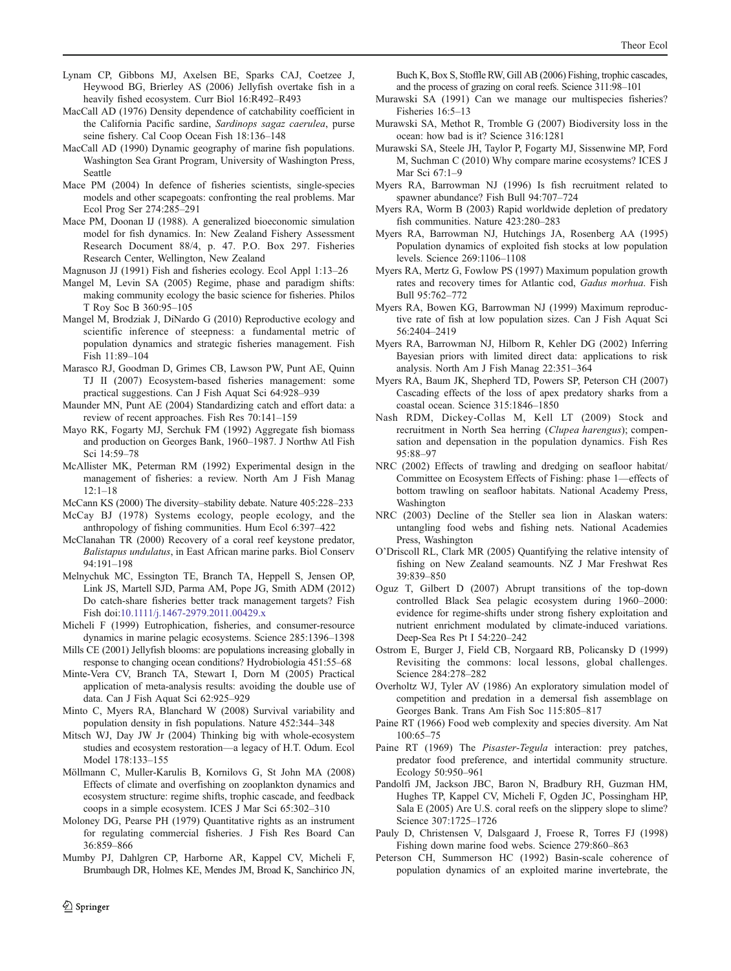- <span id="page-17-0"></span>Lynam CP, Gibbons MJ, Axelsen BE, Sparks CAJ, Coetzee J, Heywood BG, Brierley AS (2006) Jellyfish overtake fish in a heavily fished ecosystem. Curr Biol 16:R492–R493
- MacCall AD (1976) Density dependence of catchability coefficient in the California Pacific sardine, Sardinops sagaz caerulea, purse seine fishery. Cal Coop Ocean Fish 18:136–148
- MacCall AD (1990) Dynamic geography of marine fish populations. Washington Sea Grant Program, University of Washington Press, Seattle
- Mace PM (2004) In defence of fisheries scientists, single-species models and other scapegoats: confronting the real problems. Mar Ecol Prog Ser 274:285–291
- Mace PM, Doonan IJ (1988). A generalized bioeconomic simulation model for fish dynamics. In: New Zealand Fishery Assessment Research Document 88/4, p. 47. P.O. Box 297. Fisheries Research Center, Wellington, New Zealand
- Magnuson JJ (1991) Fish and fisheries ecology. Ecol Appl 1:13–26
- Mangel M, Levin SA (2005) Regime, phase and paradigm shifts: making community ecology the basic science for fisheries. Philos T Roy Soc B 360:95–105
- Mangel M, Brodziak J, DiNardo G (2010) Reproductive ecology and scientific inference of steepness: a fundamental metric of population dynamics and strategic fisheries management. Fish Fish 11:89–104
- Marasco RJ, Goodman D, Grimes CB, Lawson PW, Punt AE, Quinn TJ II (2007) Ecosystem-based fisheries management: some practical suggestions. Can J Fish Aquat Sci 64:928–939
- Maunder MN, Punt AE (2004) Standardizing catch and effort data: a review of recent approaches. Fish Res 70:141–159
- Mayo RK, Fogarty MJ, Serchuk FM (1992) Aggregate fish biomass and production on Georges Bank, 1960–1987. J Northw Atl Fish Sci 14:59–78
- McAllister MK, Peterman RM (1992) Experimental design in the management of fisheries: a review. North Am J Fish Manag 12:1–18
- McCann KS (2000) The diversity–stability debate. Nature 405:228–233
- McCay BJ (1978) Systems ecology, people ecology, and the anthropology of fishing communities. Hum Ecol 6:397–422
- McClanahan TR (2000) Recovery of a coral reef keystone predator, Balistapus undulatus, in East African marine parks. Biol Conserv 94:191–198
- Melnychuk MC, Essington TE, Branch TA, Heppell S, Jensen OP, Link JS, Martell SJD, Parma AM, Pope JG, Smith ADM (2012) Do catch-share fisheries better track management targets? Fish Fish doi[:10.1111/j.1467-2979.2011.00429.x](http://dx.doi.org/10.1111/j.1467-2979.2011.00429.x)
- Micheli F (1999) Eutrophication, fisheries, and consumer-resource dynamics in marine pelagic ecosystems. Science 285:1396–1398
- Mills CE (2001) Jellyfish blooms: are populations increasing globally in response to changing ocean conditions? Hydrobiologia 451:55–68
- Minte-Vera CV, Branch TA, Stewart I, Dorn M (2005) Practical application of meta-analysis results: avoiding the double use of data. Can J Fish Aquat Sci 62:925–929
- Minto C, Myers RA, Blanchard W (2008) Survival variability and population density in fish populations. Nature 452:344–348
- Mitsch WJ, Day JW Jr (2004) Thinking big with whole-ecosystem studies and ecosystem restoration—a legacy of H.T. Odum. Ecol Model 178:133–155
- Möllmann C, Muller-Karulis B, Kornilovs G, St John MA (2008) Effects of climate and overfishing on zooplankton dynamics and ecosystem structure: regime shifts, trophic cascade, and feedback coops in a simple ecosystem. ICES J Mar Sci 65:302–310
- Moloney DG, Pearse PH (1979) Quantitative rights as an instrument for regulating commercial fisheries. J Fish Res Board Can 36:859–866
- Mumby PJ, Dahlgren CP, Harborne AR, Kappel CV, Micheli F, Brumbaugh DR, Holmes KE, Mendes JM, Broad K, Sanchirico JN,

Buch K, Box S, Stoffle RW, Gill AB (2006) Fishing, trophic cascades, and the process of grazing on coral reefs. Science 311:98–101

- Murawski SA (1991) Can we manage our multispecies fisheries? Fisheries 16:5–13
- Murawski SA, Methot R, Tromble G (2007) Biodiversity loss in the ocean: how bad is it? Science 316:1281
- Murawski SA, Steele JH, Taylor P, Fogarty MJ, Sissenwine MP, Ford M, Suchman C (2010) Why compare marine ecosystems? ICES J Mar Sci 67:1–9
- Myers RA, Barrowman NJ (1996) Is fish recruitment related to spawner abundance? Fish Bull 94:707–724
- Myers RA, Worm B (2003) Rapid worldwide depletion of predatory fish communities. Nature 423:280–283
- Myers RA, Barrowman NJ, Hutchings JA, Rosenberg AA (1995) Population dynamics of exploited fish stocks at low population levels. Science 269:1106–1108
- Myers RA, Mertz G, Fowlow PS (1997) Maximum population growth rates and recovery times for Atlantic cod, Gadus morhua. Fish Bull 95:762–772
- Myers RA, Bowen KG, Barrowman NJ (1999) Maximum reproductive rate of fish at low population sizes. Can J Fish Aquat Sci 56:2404–2419
- Myers RA, Barrowman NJ, Hilborn R, Kehler DG (2002) Inferring Bayesian priors with limited direct data: applications to risk analysis. North Am J Fish Manag 22:351–364
- Myers RA, Baum JK, Shepherd TD, Powers SP, Peterson CH (2007) Cascading effects of the loss of apex predatory sharks from a coastal ocean. Science 315:1846–1850
- Nash RDM, Dickey-Collas M, Kell LT (2009) Stock and recruitment in North Sea herring (Clupea harengus); compensation and depensation in the population dynamics. Fish Res 95:88–97
- NRC (2002) Effects of trawling and dredging on seafloor habitat/ Committee on Ecosystem Effects of Fishing: phase 1—effects of bottom trawling on seafloor habitats. National Academy Press, Washington
- NRC (2003) Decline of the Steller sea lion in Alaskan waters: untangling food webs and fishing nets. National Academies Press, Washington
- O'Driscoll RL, Clark MR (2005) Quantifying the relative intensity of fishing on New Zealand seamounts. NZ J Mar Freshwat Res 39:839–850
- Oguz T, Gilbert D (2007) Abrupt transitions of the top-down controlled Black Sea pelagic ecosystem during 1960–2000: evidence for regime-shifts under strong fishery exploitation and nutrient enrichment modulated by climate-induced variations. Deep-Sea Res Pt I 54:220–242
- Ostrom E, Burger J, Field CB, Norgaard RB, Policansky D (1999) Revisiting the commons: local lessons, global challenges. Science 284:278–282
- Overholtz WJ, Tyler AV (1986) An exploratory simulation model of competition and predation in a demersal fish assemblage on Georges Bank. Trans Am Fish Soc 115:805–817
- Paine RT (1966) Food web complexity and species diversity. Am Nat 100:65–75
- Paine RT (1969) The *Pisaster-Tegula* interaction: prey patches, predator food preference, and intertidal community structure. Ecology 50:950–961
- Pandolfi JM, Jackson JBC, Baron N, Bradbury RH, Guzman HM, Hughes TP, Kappel CV, Micheli F, Ogden JC, Possingham HP, Sala E (2005) Are U.S. coral reefs on the slippery slope to slime? Science 307:1725–1726
- Pauly D, Christensen V, Dalsgaard J, Froese R, Torres FJ (1998) Fishing down marine food webs. Science 279:860–863
- Peterson CH, Summerson HC (1992) Basin-scale coherence of population dynamics of an exploited marine invertebrate, the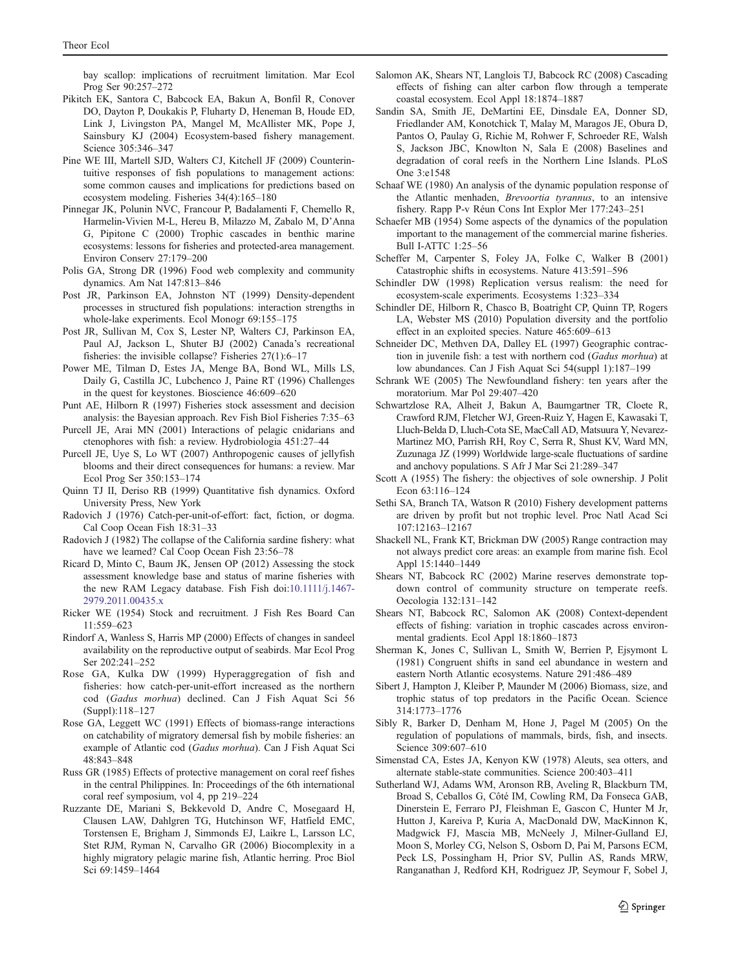<span id="page-18-0"></span>bay scallop: implications of recruitment limitation. Mar Ecol Prog Ser 90:257–272

- Pikitch EK, Santora C, Babcock EA, Bakun A, Bonfil R, Conover DO, Dayton P, Doukakis P, Fluharty D, Heneman B, Houde ED, Link J, Livingston PA, Mangel M, McAllister MK, Pope J, Sainsbury KJ (2004) Ecosystem-based fishery management. Science 305:346–347
- Pine WE III, Martell SJD, Walters CJ, Kitchell JF (2009) Counterintuitive responses of fish populations to management actions: some common causes and implications for predictions based on ecosystem modeling. Fisheries 34(4):165–180
- Pinnegar JK, Polunin NVC, Francour P, Badalamenti F, Chemello R, Harmelin-Vivien M-L, Hereu B, Milazzo M, Zabalo M, D'Anna G, Pipitone C (2000) Trophic cascades in benthic marine ecosystems: lessons for fisheries and protected-area management. Environ Conserv 27:179–200
- Polis GA, Strong DR (1996) Food web complexity and community dynamics. Am Nat 147:813–846
- Post JR, Parkinson EA, Johnston NT (1999) Density-dependent processes in structured fish populations: interaction strengths in whole-lake experiments. Ecol Monogr 69:155–175
- Post JR, Sullivan M, Cox S, Lester NP, Walters CJ, Parkinson EA, Paul AJ, Jackson L, Shuter BJ (2002) Canada's recreational fisheries: the invisible collapse? Fisheries 27(1):6–17
- Power ME, Tilman D, Estes JA, Menge BA, Bond WL, Mills LS, Daily G, Castilla JC, Lubchenco J, Paine RT (1996) Challenges in the quest for keystones. Bioscience 46:609–620
- Punt AE, Hilborn R (1997) Fisheries stock assessment and decision analysis: the Bayesian approach. Rev Fish Biol Fisheries 7:35–63
- Purcell JE, Arai MN (2001) Interactions of pelagic cnidarians and ctenophores with fish: a review. Hydrobiologia 451:27–44
- Purcell JE, Uye S, Lo WT (2007) Anthropogenic causes of jellyfish blooms and their direct consequences for humans: a review. Mar Ecol Prog Ser 350:153–174
- Quinn TJ II, Deriso RB (1999) Quantitative fish dynamics. Oxford University Press, New York
- Radovich J (1976) Catch-per-unit-of-effort: fact, fiction, or dogma. Cal Coop Ocean Fish 18:31–33
- Radovich J (1982) The collapse of the California sardine fishery: what have we learned? Cal Coop Ocean Fish 23:56–78
- Ricard D, Minto C, Baum JK, Jensen OP (2012) Assessing the stock assessment knowledge base and status of marine fisheries with the new RAM Legacy database. Fish Fish doi[:10.1111/j.1467-](http://dx.doi.org/10.1111/j.1467-2979.2011.00435.x) [2979.2011.00435.x](http://dx.doi.org/10.1111/j.1467-2979.2011.00435.x)
- Ricker WE (1954) Stock and recruitment. J Fish Res Board Can 11:559–623
- Rindorf A, Wanless S, Harris MP (2000) Effects of changes in sandeel availability on the reproductive output of seabirds. Mar Ecol Prog Ser 202:241–252
- Rose GA, Kulka DW (1999) Hyperaggregation of fish and fisheries: how catch-per-unit-effort increased as the northern cod (Gadus morhua) declined. Can J Fish Aquat Sci 56 (Suppl):118–127
- Rose GA, Leggett WC (1991) Effects of biomass-range interactions on catchability of migratory demersal fish by mobile fisheries: an example of Atlantic cod (Gadus morhua). Can J Fish Aquat Sci 48:843–848
- Russ GR (1985) Effects of protective management on coral reef fishes in the central Philippines. In: Proceedings of the 6th international coral reef symposium, vol 4, pp 219–224
- Ruzzante DE, Mariani S, Bekkevold D, Andre C, Mosegaard H, Clausen LAW, Dahlgren TG, Hutchinson WF, Hatfield EMC, Torstensen E, Brigham J, Simmonds EJ, Laikre L, Larsson LC, Stet RJM, Ryman N, Carvalho GR (2006) Biocomplexity in a highly migratory pelagic marine fish, Atlantic herring. Proc Biol Sci 69:1459–1464
- Salomon AK, Shears NT, Langlois TJ, Babcock RC (2008) Cascading effects of fishing can alter carbon flow through a temperate coastal ecosystem. Ecol Appl 18:1874–1887
- Sandin SA, Smith JE, DeMartini EE, Dinsdale EA, Donner SD, Friedlander AM, Konotchick T, Malay M, Maragos JE, Obura D, Pantos O, Paulay G, Richie M, Rohwer F, Schroeder RE, Walsh S, Jackson JBC, Knowlton N, Sala E (2008) Baselines and degradation of coral reefs in the Northern Line Islands. PLoS One 3:e1548
- Schaaf WE (1980) An analysis of the dynamic population response of the Atlantic menhaden, Brevoortia tyrannus, to an intensive fishery. Rapp P-v Réun Cons Int Explor Mer 177:243–251
- Schaefer MB (1954) Some aspects of the dynamics of the population important to the management of the commercial marine fisheries. Bull I-ATTC 1:25–56
- Scheffer M, Carpenter S, Foley JA, Folke C, Walker B (2001) Catastrophic shifts in ecosystems. Nature 413:591–596
- Schindler DW (1998) Replication versus realism: the need for ecosystem-scale experiments. Ecosystems 1:323–334
- Schindler DE, Hilborn R, Chasco B, Boatright CP, Quinn TP, Rogers LA, Webster MS (2010) Population diversity and the portfolio effect in an exploited species. Nature 465:609–613
- Schneider DC, Methven DA, Dalley EL (1997) Geographic contraction in juvenile fish: a test with northern cod (Gadus morhua) at low abundances. Can J Fish Aquat Sci 54(suppl 1):187–199
- Schrank WE (2005) The Newfoundland fishery: ten years after the moratorium. Mar Pol 29:407–420
- Schwartzlose RA, Alheit J, Bakun A, Baumgartner TR, Cloete R, Crawford RJM, Fletcher WJ, Green-Ruiz Y, Hagen E, Kawasaki T, Lluch-Belda D, Lluch-Cota SE, MacCall AD, Matsuura Y, Nevarez-Martinez MO, Parrish RH, Roy C, Serra R, Shust KV, Ward MN, Zuzunaga JZ (1999) Worldwide large-scale fluctuations of sardine and anchovy populations. S Afr J Mar Sci 21:289–347
- Scott A (1955) The fishery: the objectives of sole ownership. J Polit Econ 63:116–124
- Sethi SA, Branch TA, Watson R (2010) Fishery development patterns are driven by profit but not trophic level. Proc Natl Acad Sci 107:12163–12167
- Shackell NL, Frank KT, Brickman DW (2005) Range contraction may not always predict core areas: an example from marine fish. Ecol Appl 15:1440–1449
- Shears NT, Babcock RC (2002) Marine reserves demonstrate topdown control of community structure on temperate reefs. Oecologia 132:131–142
- Shears NT, Babcock RC, Salomon AK (2008) Context-dependent effects of fishing: variation in trophic cascades across environmental gradients. Ecol Appl 18:1860–1873
- Sherman K, Jones C, Sullivan L, Smith W, Berrien P, Ejsymont L (1981) Congruent shifts in sand eel abundance in western and eastern North Atlantic ecosystems. Nature 291:486–489
- Sibert J, Hampton J, Kleiber P, Maunder M (2006) Biomass, size, and trophic status of top predators in the Pacific Ocean. Science 314:1773–1776
- Sibly R, Barker D, Denham M, Hone J, Pagel M (2005) On the regulation of populations of mammals, birds, fish, and insects. Science 309:607–610
- Simenstad CA, Estes JA, Kenyon KW (1978) Aleuts, sea otters, and alternate stable-state communities. Science 200:403–411
- Sutherland WJ, Adams WM, Aronson RB, Aveling R, Blackburn TM, Broad S, Ceballos G, Côté IM, Cowling RM, Da Fonseca GAB, Dinerstein E, Ferraro PJ, Fleishman E, Gascon C, Hunter M Jr, Hutton J, Kareiva P, Kuria A, MacDonald DW, MacKinnon K, Madgwick FJ, Mascia MB, McNeely J, Milner-Gulland EJ, Moon S, Morley CG, Nelson S, Osborn D, Pai M, Parsons ECM, Peck LS, Possingham H, Prior SV, Pullin AS, Rands MRW, Ranganathan J, Redford KH, Rodriguez JP, Seymour F, Sobel J,